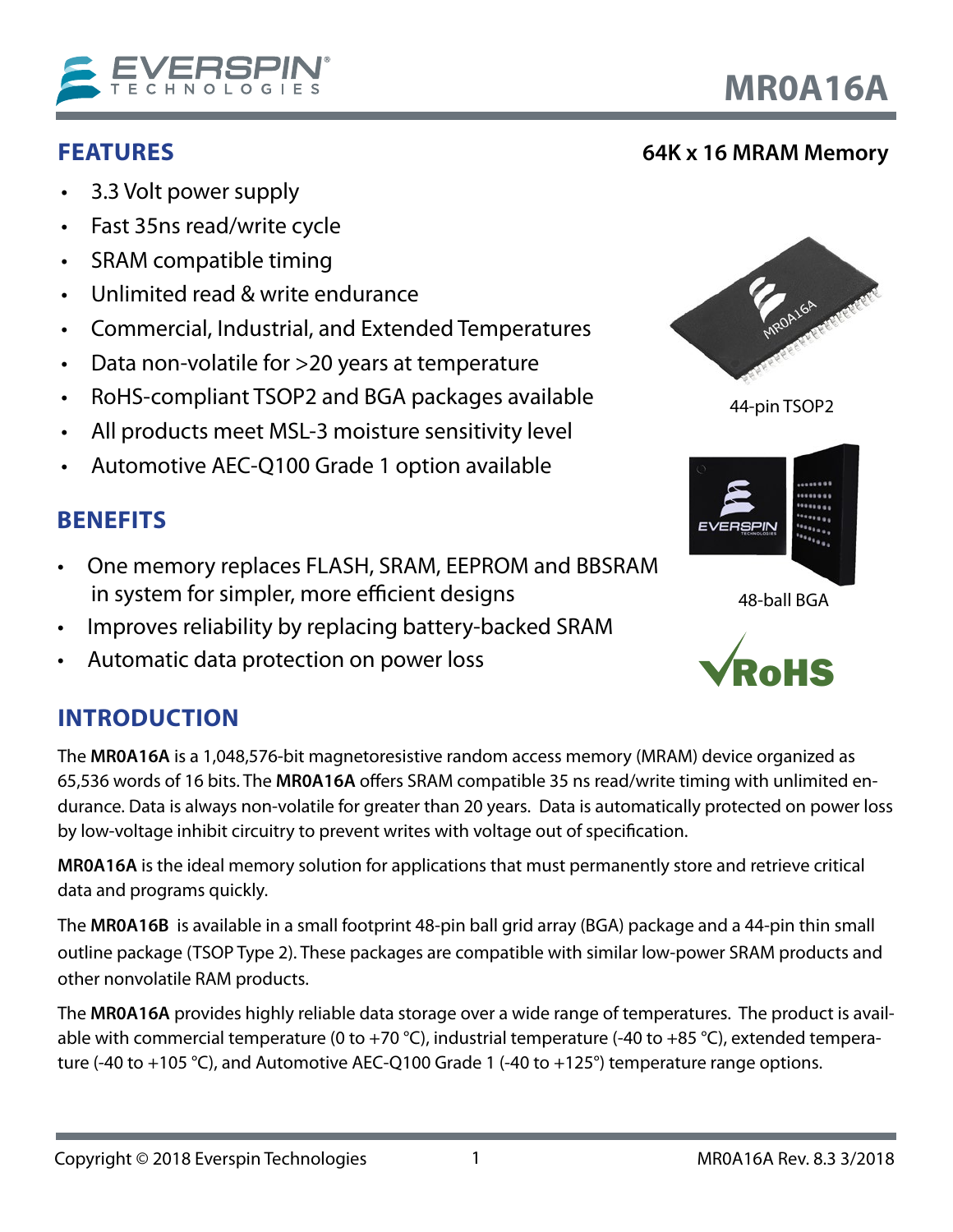

- SRAM compatible timing
- Unlimited read & write endurance
- Commercial, Industrial, and Extended Temperatures
- Data non-volatile for >20 years at temperature
- RoHS-compliant TSOP2 and BGA packages available
- All products meet MSL-3 moisture sensitivity level
- Automotive AEC-Q100 Grade 1 option available

## **BENEFITS**

<span id="page-0-0"></span>**FEATURES**

- One memory replaces FLASH, SRAM, EEPROM and BBSRAM in system for simpler, more efficient designs
- Improves reliability by replacing battery-backed SRAM
- Automatic data protection on power loss

# **INTRODUCTION**

The **MR0A16A** is a 1,048,576-bit magnetoresistive random access memory (MRAM) device organized as 65,536 words of 16 bits. The **MR0A16A** offers SRAM compatible 35 ns read/write timing with unlimited endurance. Data is always non-volatile for greater than 20 years. Data is automatically protected on power loss by low-voltage inhibit circuitry to prevent writes with voltage out of specification.

**MR0A16A** is the ideal memory solution for applications that must permanently store and retrieve critical data and programs quickly.

The **MR0A16B** is available in a small footprint 48-pin ball grid array (BGA) package and a 44-pin thin small outline package (TSOP Type 2). These packages are compatible with similar low-power SRAM products and other nonvolatile RAM products.

The **MR0A16A** provides highly reliable data storage over a wide range of temperatures. The product is available with commercial temperature (0 to +70 °C), industrial temperature (-40 to +85 °C), extended temperature (-40 to +105 °C), and Automotive AEC-Q100 Grade 1 (-40 to +125°) temperature range options.





44-pin TSOP2



48-ball BGA



1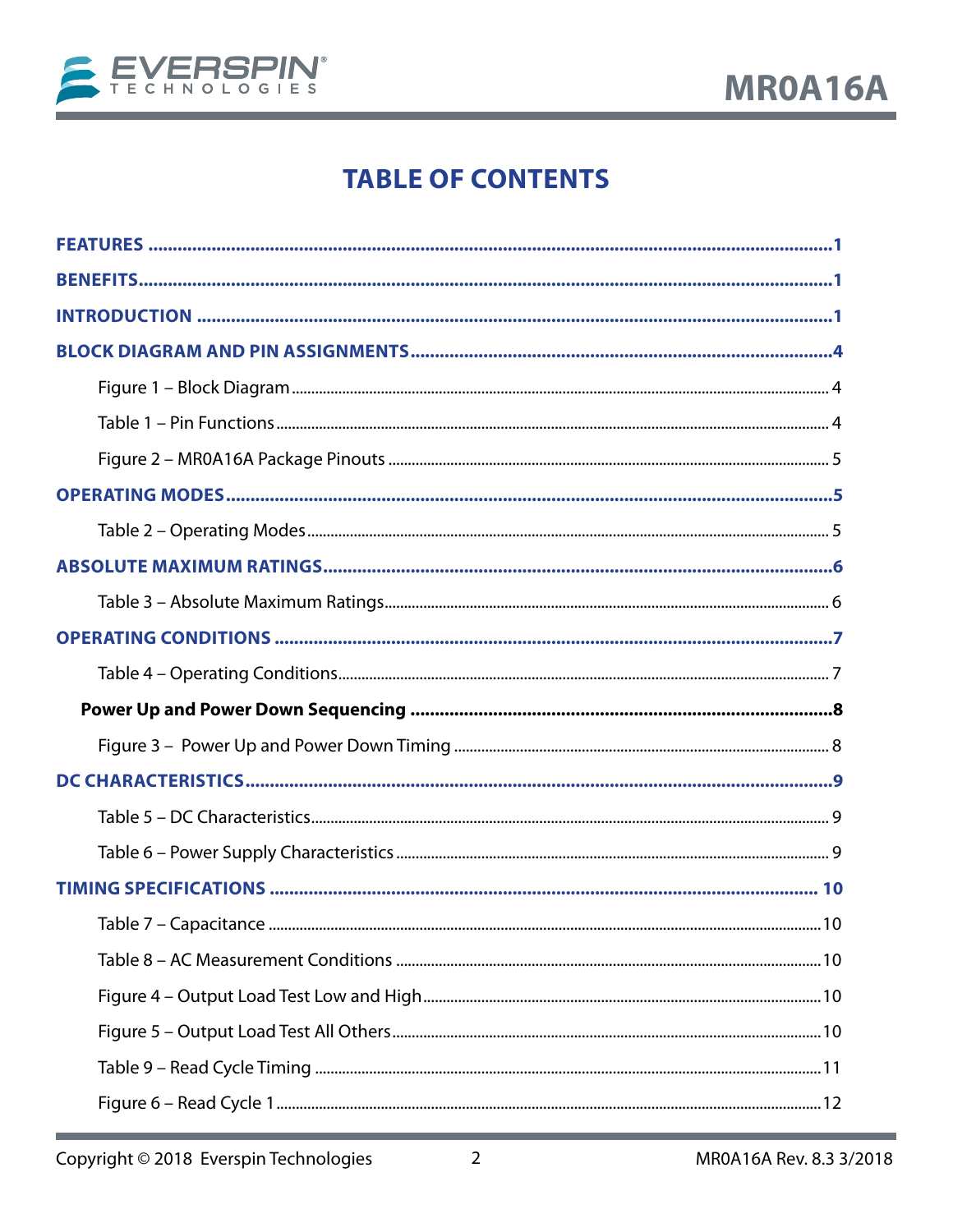

# **TABLE OF CONTENTS**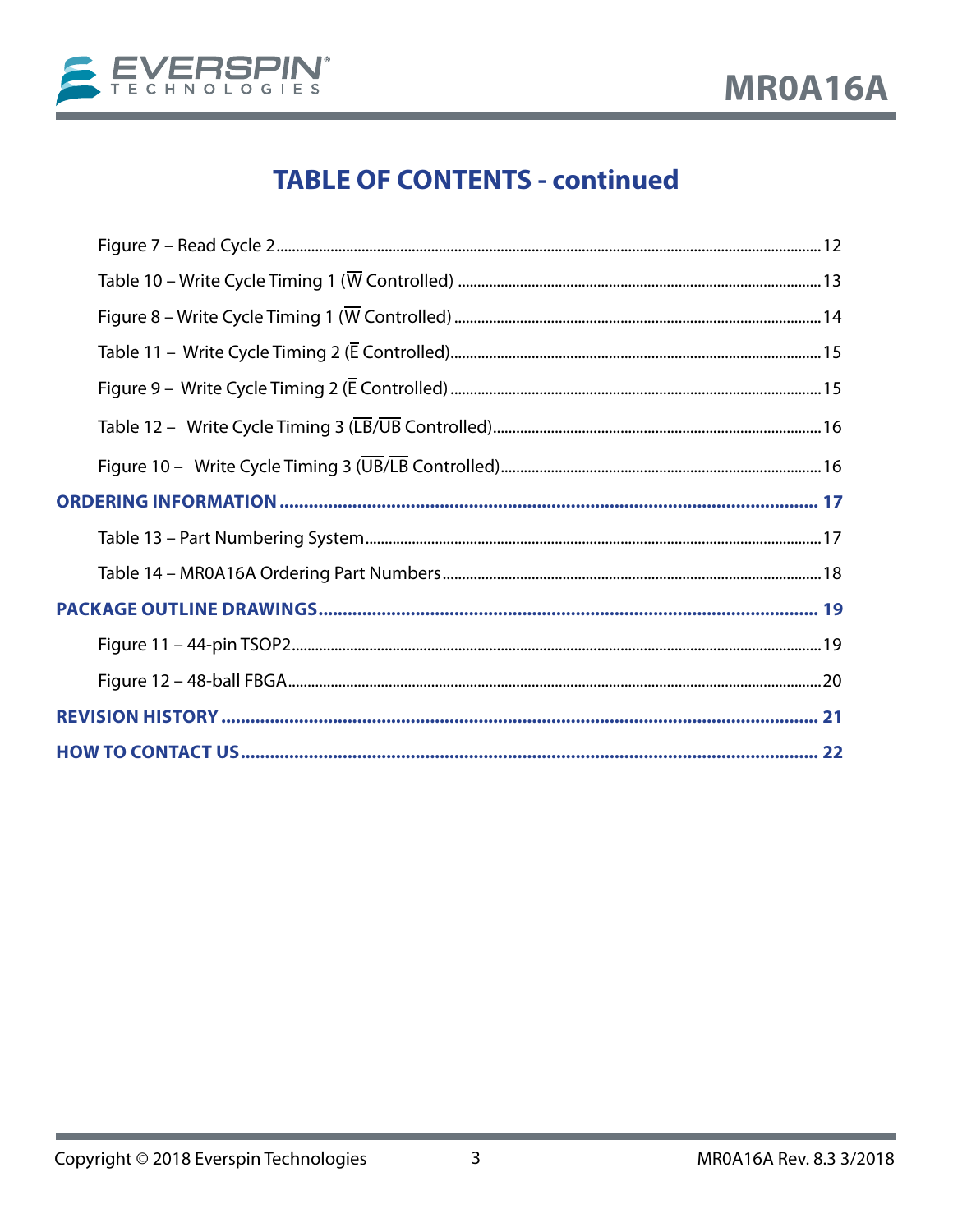

# **TABLE OF CONTENTS - continued**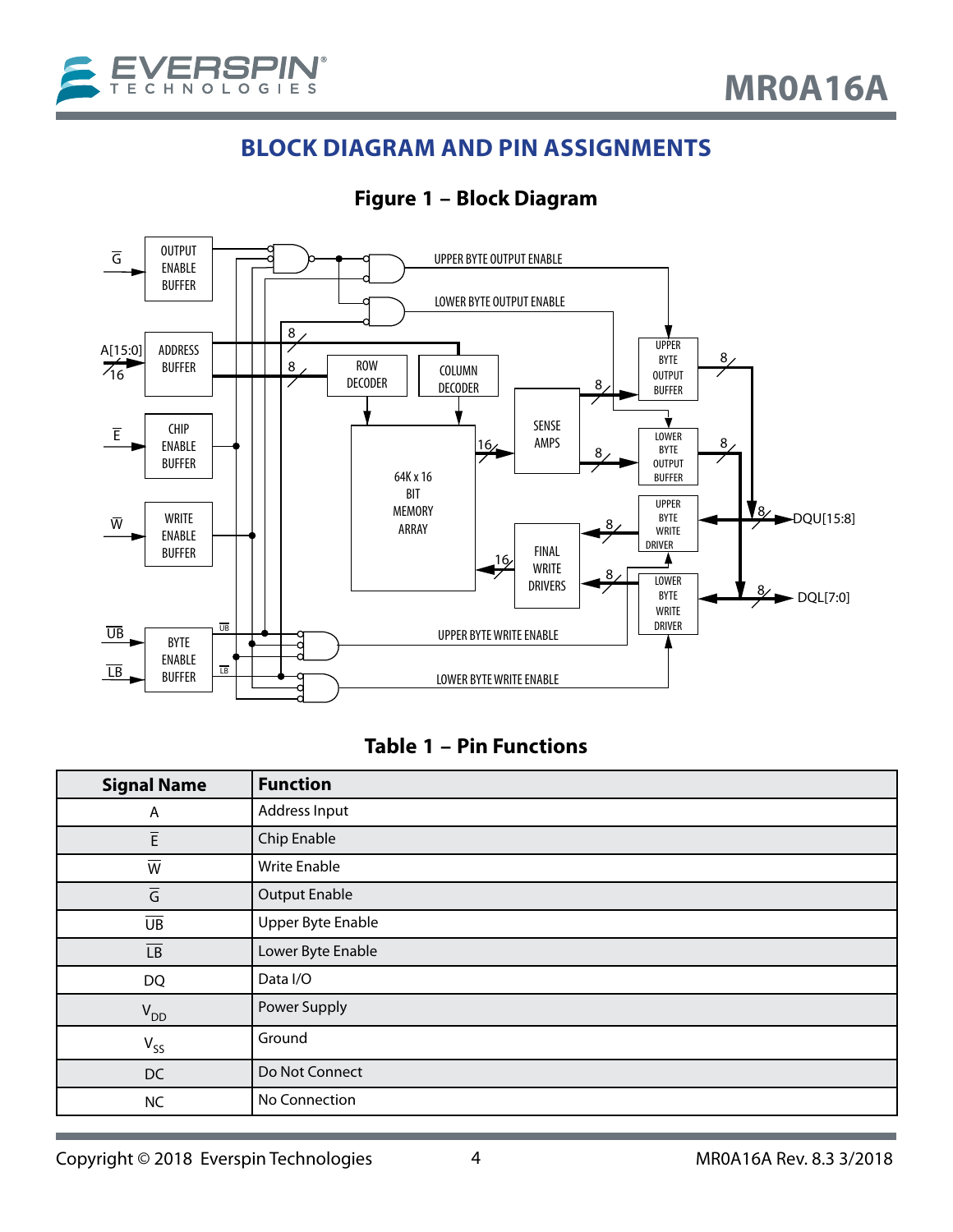<span id="page-3-0"></span>

## **BLOCK DIAGRAM AND PIN ASSIGNMENTS**

**Figure 1 – Block Diagram**



#### **Table 1 – Pin Functions**

| <b>Signal Name</b>       | <b>Function</b>          |
|--------------------------|--------------------------|
| A                        | Address Input            |
| $\overline{\mathsf{E}}$  | Chip Enable              |
| $\overline{W}$           | <b>Write Enable</b>      |
| $\overline{\mathsf{G}}$  | <b>Output Enable</b>     |
| $\overline{\mathsf{UB}}$ | <b>Upper Byte Enable</b> |
| $\overline{\mathsf{LB}}$ | Lower Byte Enable        |
| DQ                       | Data I/O                 |
| $V_{DD}$                 | Power Supply             |
| $V_{SS}$                 | Ground                   |
| DC                       | Do Not Connect           |
| <b>NC</b>                | No Connection            |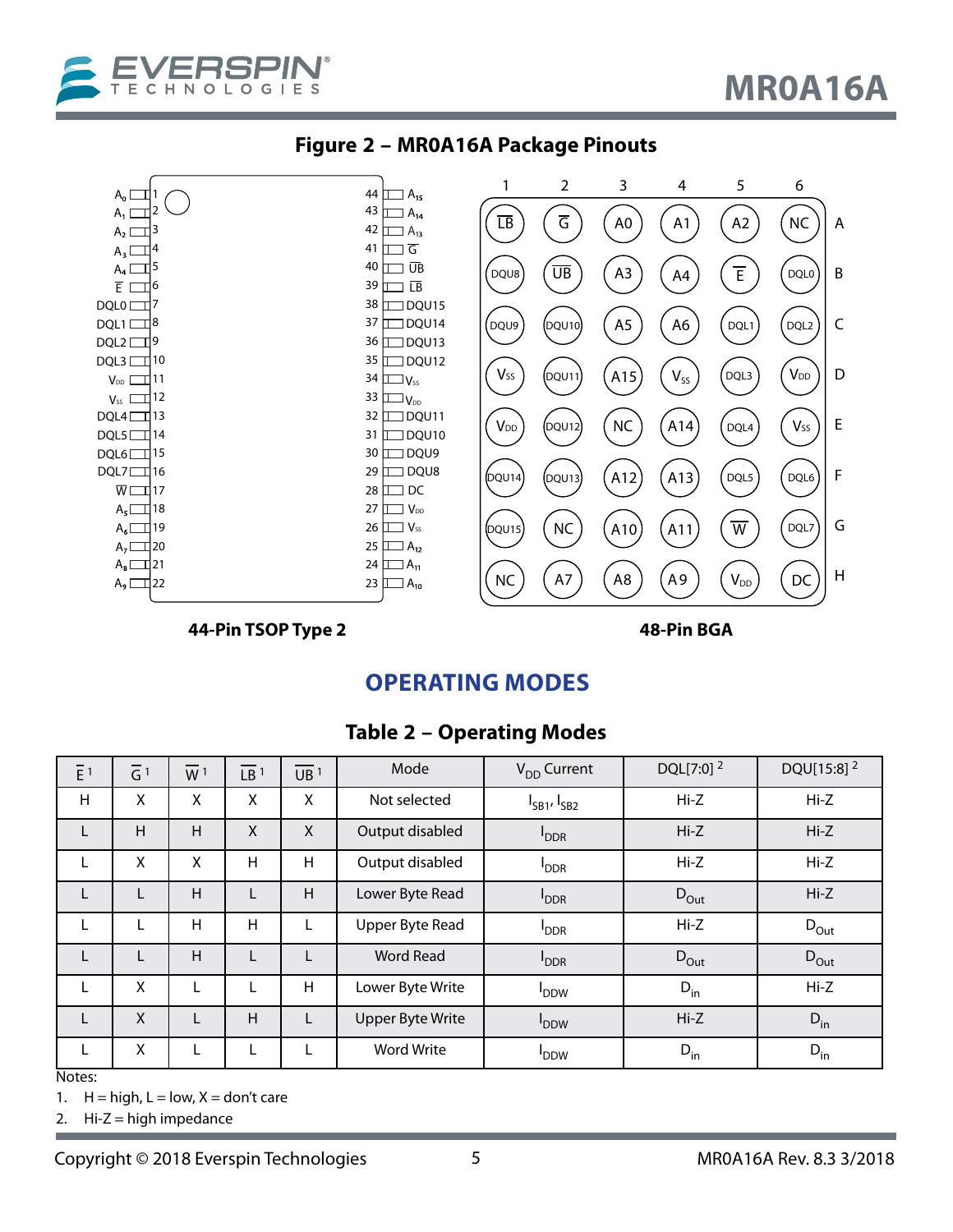<span id="page-4-0"></span>





**44-Pin TSOP Type 2 48-Pin BGA**

## **OPERATING MODES**

### **Table 2 – Operating Modes**

| $\overline{E}$ <sup>1</sup> | $\overline{G}$ <sup>1</sup> | $\overline{W}$ <sup>1</sup> | $\overline{LB}$ <sup>1</sup> | $\overline{UB}$ <sup>1</sup> | Mode                    | $V_{DD}$ Current        | DQL[7:0] <sup>2</sup> | DQU[15:8] <sup>2</sup> |
|-----------------------------|-----------------------------|-----------------------------|------------------------------|------------------------------|-------------------------|-------------------------|-----------------------|------------------------|
| H                           | X                           | X                           | X                            | X                            | Not selected            | $I_{SB1'}I_{SB2}$       | $Hi-Z$                | $Hi-Z$                 |
| L                           | H                           | H                           | X                            | X                            | Output disabled         | <b>I</b> <sub>DDR</sub> | $Hi-Z$                | $Hi-Z$                 |
| L                           | X                           | X                           | Н                            | Н                            | Output disabled         | <b>PDDR</b>             | Hi-Z                  | $Hi-Z$                 |
| L                           |                             | H                           | L                            | H                            | Lower Byte Read         | <b>PDDR</b>             | $D_{\text{Out}}$      | $Hi-Z$                 |
| L                           | L                           | H                           | Н                            | L                            | Upper Byte Read         | <b>I</b> <sub>DDR</sub> | Hi-Z                  | $D_{\text{Out}}$       |
| L                           | L                           | H                           | L                            | L                            | <b>Word Read</b>        | <b>PDDR</b>             | $D_{\text{Out}}$      | $D_{\text{Out}}$       |
| L                           | X                           | L                           | L                            | Н                            | Lower Byte Write        | <b>DDW</b>              | $D_{\text{in}}$       | Hi-Z                   |
| L                           | X                           | L                           | H                            | L                            | <b>Upper Byte Write</b> | <b>DDW</b>              | $Hi-Z$                | $D_{in}$               |
| L.<br>$\mathbf{A}$          | X                           | L                           | L                            | L                            | <b>Word Write</b>       | <b>DDW</b>              | $D_{\text{in}}$       | $D_{in}$               |

Notes:

1.  $H = high, L = low, X = don't care$ 

2.  $Hi-Z = high$  impedance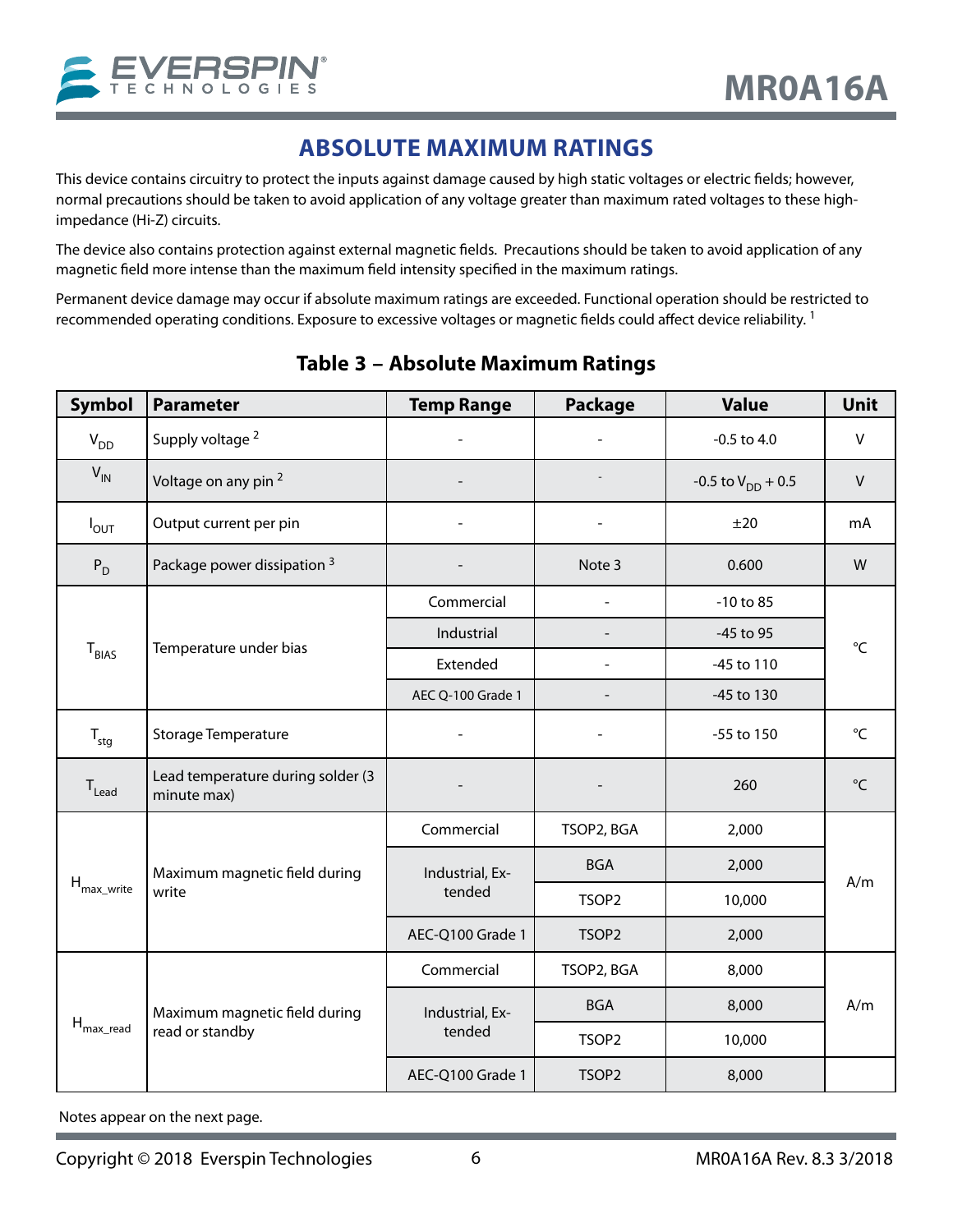## **ABSOLUTE MAXIMUM RATINGS**

<span id="page-5-0"></span>This device contains circuitry to protect the inputs against damage caused by high static voltages or electric fields; however, normal precautions should be taken to avoid application of any voltage greater than maximum rated voltages to these highimpedance (Hi-Z) circuits.

The device also contains protection against external magnetic fields. Precautions should be taken to avoid application of any magnetic field more intense than the maximum field intensity specified in the maximum ratings.

Permanent device damage may occur if absolute maximum ratings are exceeded. Functional operation should be restricted to recommended operating conditions. Exposure to excessive voltages or magnetic fields could affect device reliability.<sup>1</sup>

| <b>Symbol</b>                | <b>Parameter</b>                                 | <b>Temp Range</b> | <b>Package</b>    | <b>Value</b>           | Unit            |  |
|------------------------------|--------------------------------------------------|-------------------|-------------------|------------------------|-----------------|--|
| $V_{DD}$                     | Supply voltage <sup>2</sup>                      |                   |                   | $-0.5$ to $4.0$        | $\vee$          |  |
| $V_{IN}$                     | Voltage on any pin <sup>2</sup>                  |                   |                   | -0.5 to $V_{DD}$ + 0.5 | $\vee$          |  |
| $I_{\text{OUT}}$             | Output current per pin                           |                   |                   | ±20                    | mA              |  |
| $P_D$                        | Package power dissipation 3                      |                   | Note 3            | 0.600                  | W               |  |
|                              |                                                  | Commercial        | $\frac{1}{2}$     | $-10$ to $85$          |                 |  |
|                              | Temperature under bias                           | Industrial        |                   | -45 to 95              | $^{\circ}C$     |  |
| T <sub>BIAS</sub>            |                                                  | Extended          |                   | -45 to 110             |                 |  |
|                              |                                                  | AEC Q-100 Grade 1 |                   | -45 to 130             |                 |  |
| $T_{\text{stg}}$             | <b>Storage Temperature</b>                       |                   |                   | -55 to 150             | $^{\circ}$ C    |  |
| $\mathsf{T}_{\mathsf{lead}}$ | Lead temperature during solder (3<br>minute max) |                   |                   | 260                    | $\rm ^{\circ}C$ |  |
|                              | Maximum magnetic field during<br>write           | Commercial        | TSOP2, BGA        | 2,000                  |                 |  |
|                              |                                                  | Industrial, Ex-   | <b>BGA</b>        | 2,000                  | A/m             |  |
| $H_{\text{max\_write}}$      |                                                  | tended            | TSOP2             | 10,000                 |                 |  |
|                              |                                                  | AEC-Q100 Grade 1  | TSOP <sub>2</sub> | 2,000                  |                 |  |
|                              |                                                  | Commercial        | TSOP2, BGA        | 8,000                  |                 |  |
| $H_{\text{max\_read}}$       | Maximum magnetic field during                    | Industrial, Ex-   | <b>BGA</b>        | 8,000                  | A/m             |  |
|                              | read or standby                                  | tended            | TSOP <sub>2</sub> | 10,000                 |                 |  |
|                              |                                                  | AEC-Q100 Grade 1  | TSOP <sub>2</sub> | 8,000                  |                 |  |

### **Table 3 – Absolute Maximum Ratings**

Notes appear on the next page.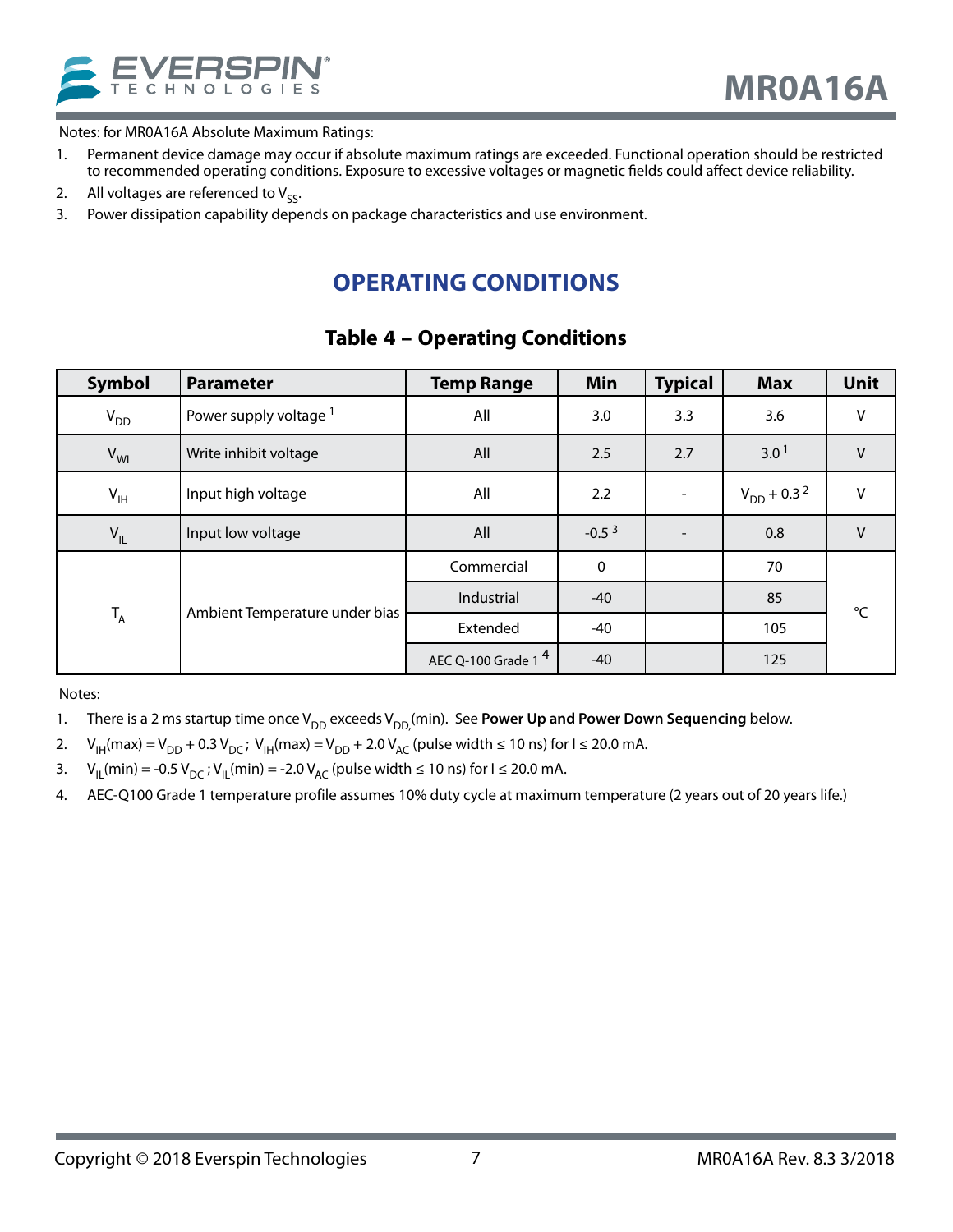<span id="page-6-0"></span>

Notes: for MR0A16A Absolute Maximum Ratings:

- 1. Permanent device damage may occur if absolute maximum ratings are exceeded. Functional operation should be restricted to recommended operating conditions. Exposure to excessive voltages or magnetic fields could affect device reliability.
- 2. All voltages are referenced to  $V_{\varsigma\varsigma}$ .
- 3. Power dissipation capability depends on package characteristics and use environment.

## **OPERATING CONDITIONS**

### **Table 4 – Operating Conditions**

| <b>Symbol</b>   | <b>Parameter</b>                  | <b>Temp Range</b>              | Min       | <b>Typical</b> | <b>Max</b>                  | <b>Unit</b>     |
|-----------------|-----------------------------------|--------------------------------|-----------|----------------|-----------------------------|-----------------|
| $V_{DD}$        | Power supply voltage <sup>1</sup> | All                            | 3.0       | 3.3            | 3.6                         | V               |
| $V_{WI}$        | Write inhibit voltage             | All                            | 2.5       | 2.7            | 3.0 <sup>1</sup>            | $\vee$          |
| $V_{\text{IH}}$ | Input high voltage                | All                            | 2.2       |                | $V_{DD}$ + 0.3 <sup>2</sup> | $\vee$          |
| $V_{IL}$        | Input low voltage                 | All                            | $-0.53$   |                | 0.8                         | $\vee$          |
| $T_A$           |                                   | Commercial                     | $\pmb{0}$ |                | 70                          |                 |
|                 | Ambient Temperature under bias    | Industrial                     | $-40$     |                | 85                          | $\rm ^{\circ}C$ |
|                 |                                   | Extended                       | $-40$     |                | 105                         |                 |
|                 |                                   | AEC Q-100 Grade 1 <sup>4</sup> | $-40$     |                | 125                         |                 |

- 1. There is a 2 ms startup time once V<sub>DD</sub> exceeds V<sub>DD</sub>,(min). See **Power Up and Power Down Sequencing** below.
- 2.  $V_{\text{IH}}(max) = V_{\text{DD}} + 0.3 V_{\text{DC}}$ ;  $V_{\text{IH}}(max) = V_{\text{DD}} + 2.0 V_{\text{AC}}$  (pulse width  $\leq 10$  ns) for  $I \leq 20.0$  mA.
- 3. V<sub>II</sub> (min) = -0.5 V<sub>DC</sub> ; V<sub>II</sub> (min) = -2.0 V<sub>AC</sub> (pulse width ≤ 10 ns) for I ≤ 20.0 mA.
- 4. AEC-Q100 Grade 1 temperature profile assumes 10% duty cycle at maximum temperature (2 years out of 20 years life.)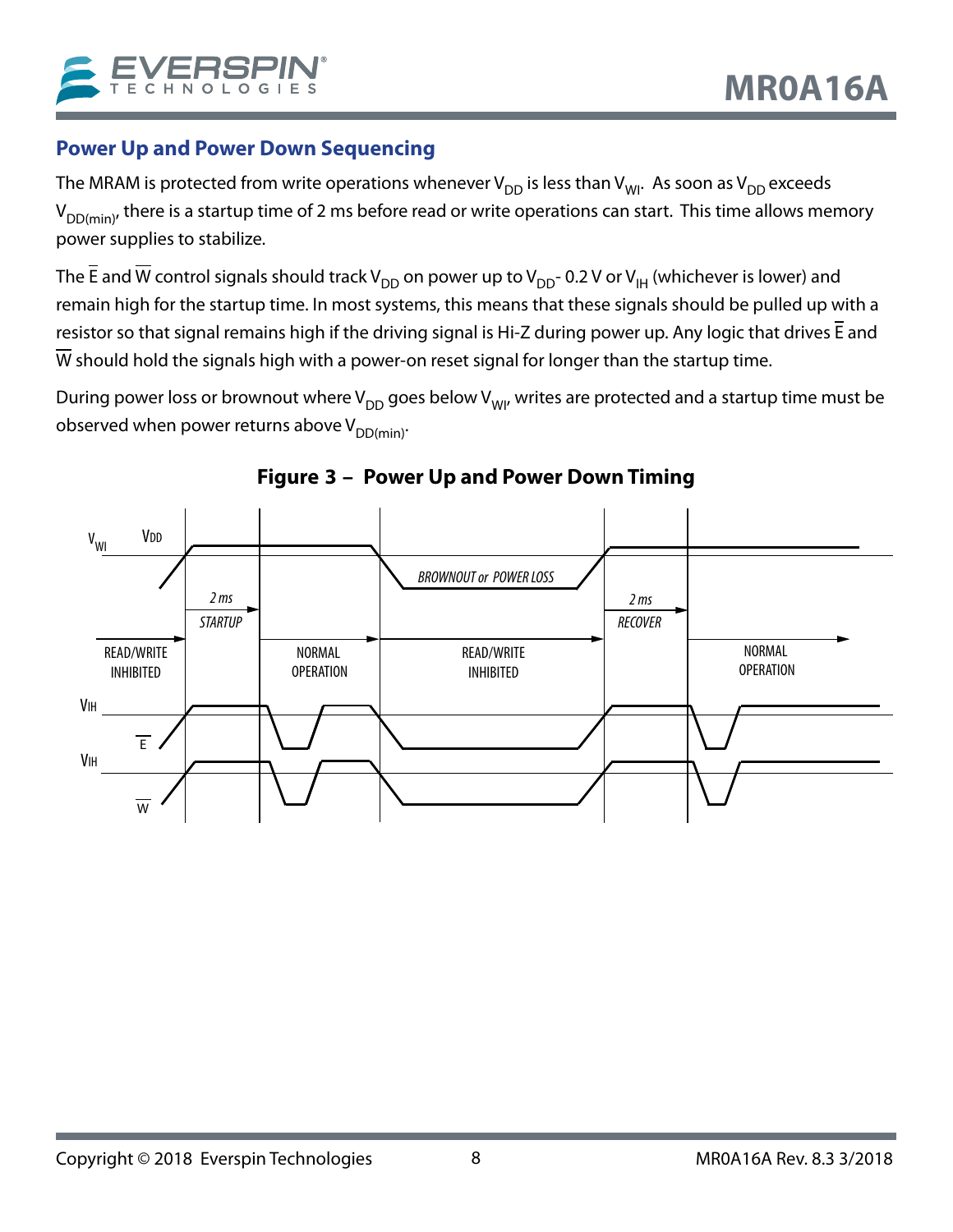### <span id="page-7-0"></span>**Power Up and Power Down Sequencing**

The MRAM is protected from write operations whenever  $V_{DD}$  is less than  $V_{WI}$ . As soon as  $V_{DD}$  exceeds  $V_{DD(min)}$ , there is a startup time of 2 ms before read or write operations can start. This time allows memory power supplies to stabilize.

The  $\bar{E}$  and  $\bar{W}$  control signals should track V<sub>DD</sub> on power up to V<sub>DD</sub>- 0.2 V or V<sub>IH</sub> (whichever is lower) and remain high for the startup time. In most systems, this means that these signals should be pulled up with a resistor so that signal remains high if the driving signal is Hi-Z during power up. Any logic that drives E and  $\overline{W}$  should hold the signals high with a power-on reset signal for longer than the startup time.

During power loss or brownout where  $V_{DD}$  goes below  $V_{W1}$ , writes are protected and a startup time must be observed when power returns above  $V_{DD(min)}$ .



### **Figure 3 – Power Up and Power Down Timing**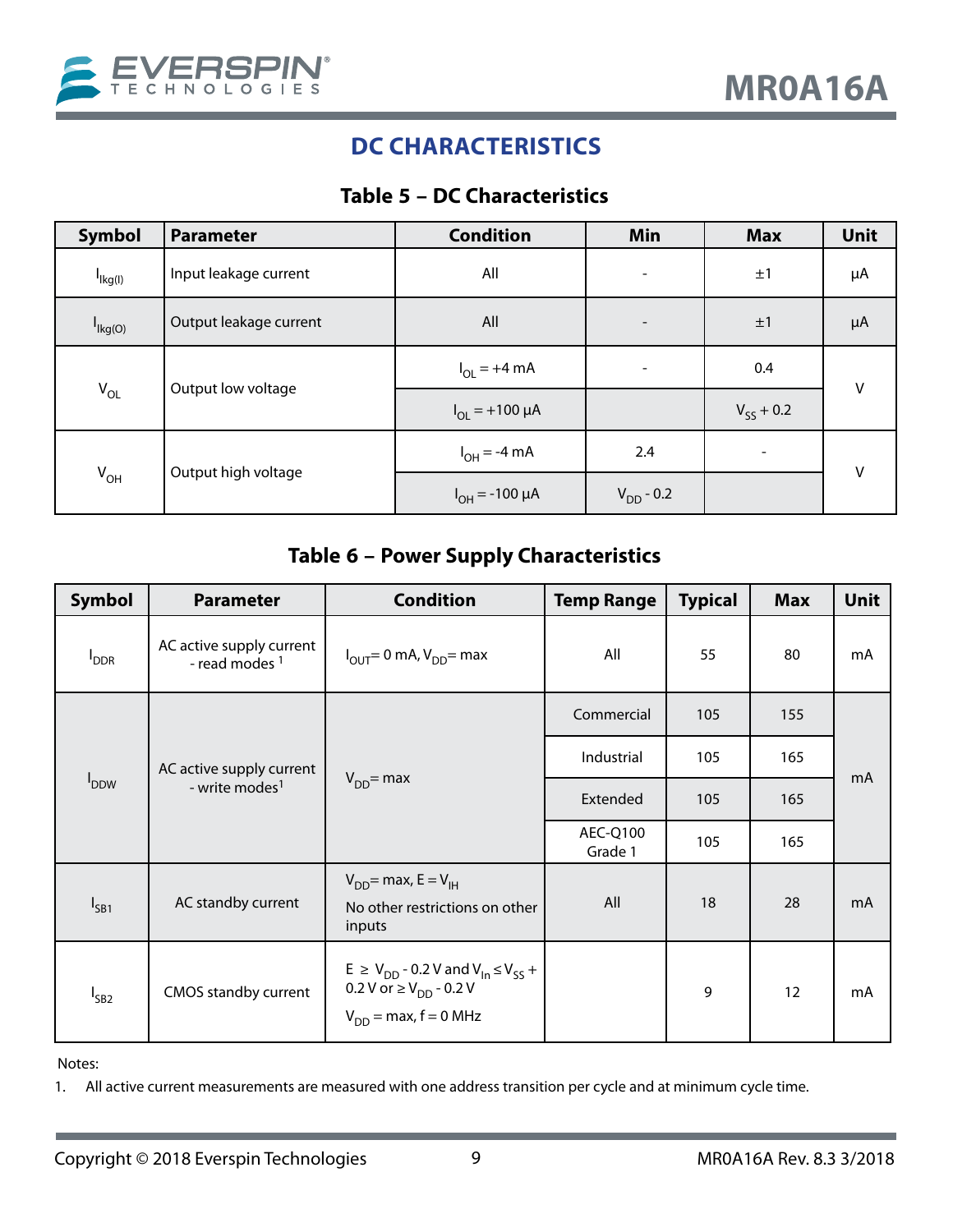<span id="page-8-0"></span>

## **DC CHARACTERISTICS**

### **Table 5 – DC Characteristics**

| <b>Symbol</b>       | <b>Parameter</b>       | <b>Condition</b>        | Min                      | <b>Max</b>                     | <b>Unit</b> |  |
|---------------------|------------------------|-------------------------|--------------------------|--------------------------------|-------------|--|
| $I_{\text{lkg(l)}}$ | Input leakage current  | All                     | $\overline{\phantom{a}}$ | ±1                             | μA          |  |
| I <sub>Ikg(O)</sub> | Output leakage current | All                     | $\qquad \qquad$          | ±1                             | $\mu A$     |  |
| $V_{OL}$            |                        | $I_{OL}$ = +4 mA        | $\overline{\phantom{a}}$ | 0.4                            | $\vee$      |  |
|                     | Output low voltage     | $I_{OL}$ = +100 $\mu$ A |                          | $V_{\varsigma\varsigma}$ + 0.2 |             |  |
| $V_{OH}$            |                        | $I_{OH} = -4 mA$        | 2.4                      |                                | $\vee$      |  |
|                     | Output high voltage    | $I_{OH} = -100 \mu A$   | $V_{DD} - 0.2$           |                                |             |  |

### **Table 6 – Power Supply Characteristics**

| <b>Symbol</b>           | <b>Parameter</b>                                       | <b>Condition</b>                                                                                                         | <b>Temp Range</b>   | <b>Typical</b> | <b>Max</b> | Unit |
|-------------------------|--------------------------------------------------------|--------------------------------------------------------------------------------------------------------------------------|---------------------|----------------|------------|------|
| <b>I</b> <sub>DDR</sub> | AC active supply current<br>- read modes <sup>1</sup>  | $I_{\text{OUT}}$ = 0 mA, $V_{\text{DD}}$ = max                                                                           | All                 | 55             | 80         | mA   |
|                         |                                                        |                                                                                                                          | Commercial          | 105            | 155        |      |
| <b>I</b> <sub>DDW</sub> | AC active supply current<br>- write modes <sup>1</sup> | $V_{DD}$ = max                                                                                                           | Industrial          | 105            | 165        | mA   |
|                         |                                                        |                                                                                                                          | Extended            | 105            | 165        |      |
|                         |                                                        |                                                                                                                          | AEC-Q100<br>Grade 1 | 105            | 165        |      |
| $I_{SB1}$               | AC standby current                                     | $V_{DD}$ = max, E = $V_{IH}$<br>No other restrictions on other<br>inputs                                                 | All                 | 18             | 28         | mA   |
| $I_{SB2}$               | CMOS standby current                                   | $E \ge V_{DD}$ - 0.2 V and $V_{In} \le V_{SS}$ +<br>0.2 V or $\geq$ V <sub>DD</sub> - 0.2 V<br>$V_{DD}$ = max, f = 0 MHz |                     | 9              | 12         | mA   |

Notes:

1. All active current measurements are measured with one address transition per cycle and at minimum cycle time.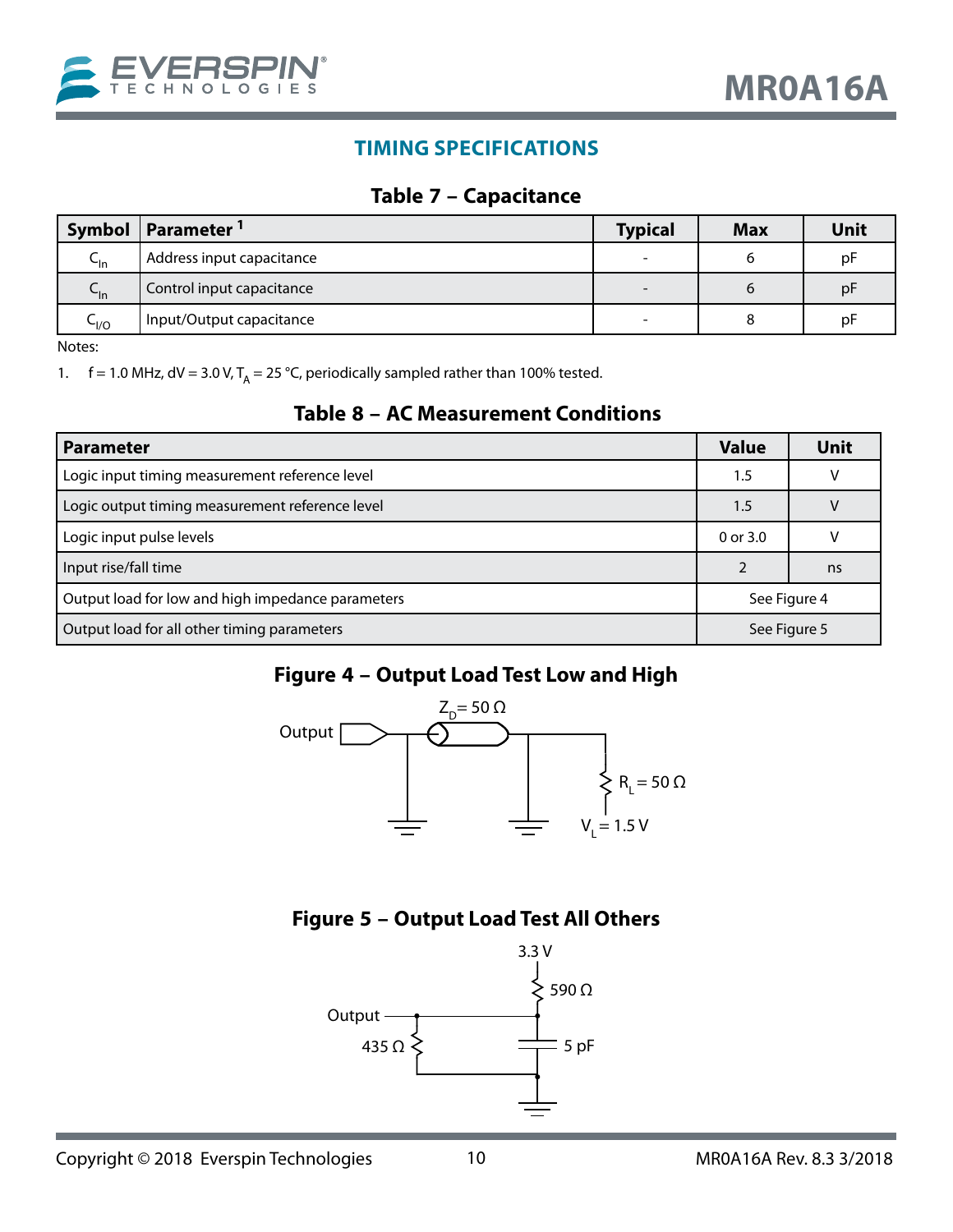<span id="page-9-0"></span>

### **TIMING SPECIFICATIONS**

#### **Table 7 – Capacitance**

|              | Symbol   Parameter <sup>1</sup> | <b>Typical</b>           | <b>Max</b> | <b>Unit</b> |
|--------------|---------------------------------|--------------------------|------------|-------------|
| ֊լո          | Address input capacitance       | $\overline{\phantom{0}}$ |            | рF          |
| ֊լո          | Control input capacitance       | $\overline{\phantom{0}}$ | b          | рF          |
| $\sim$ $1/0$ | Input/Output capacitance        | ۰                        |            | рF          |

Notes:

1.  $f = 1.0$  MHz, dV = 3.0 V, T<sub>A</sub> = 25 °C, periodically sampled rather than 100% tested.

#### **Table 8 – AC Measurement Conditions**

| <b>Parameter</b>                                  | <b>Value</b> | <b>Unit</b>  |
|---------------------------------------------------|--------------|--------------|
| Logic input timing measurement reference level    | 1.5          |              |
| Logic output timing measurement reference level   | 1.5          |              |
| Logic input pulse levels                          | $0$ or $3.0$ |              |
| Input rise/fall time                              |              | ns           |
| Output load for low and high impedance parameters | See Figure 4 |              |
| Output load for all other timing parameters       |              | See Figure 5 |

### <span id="page-9-1"></span>**Figure 4 – Output Load Test Low and High**



### **Figure 5 – Output Load Test All Others**

<span id="page-9-2"></span>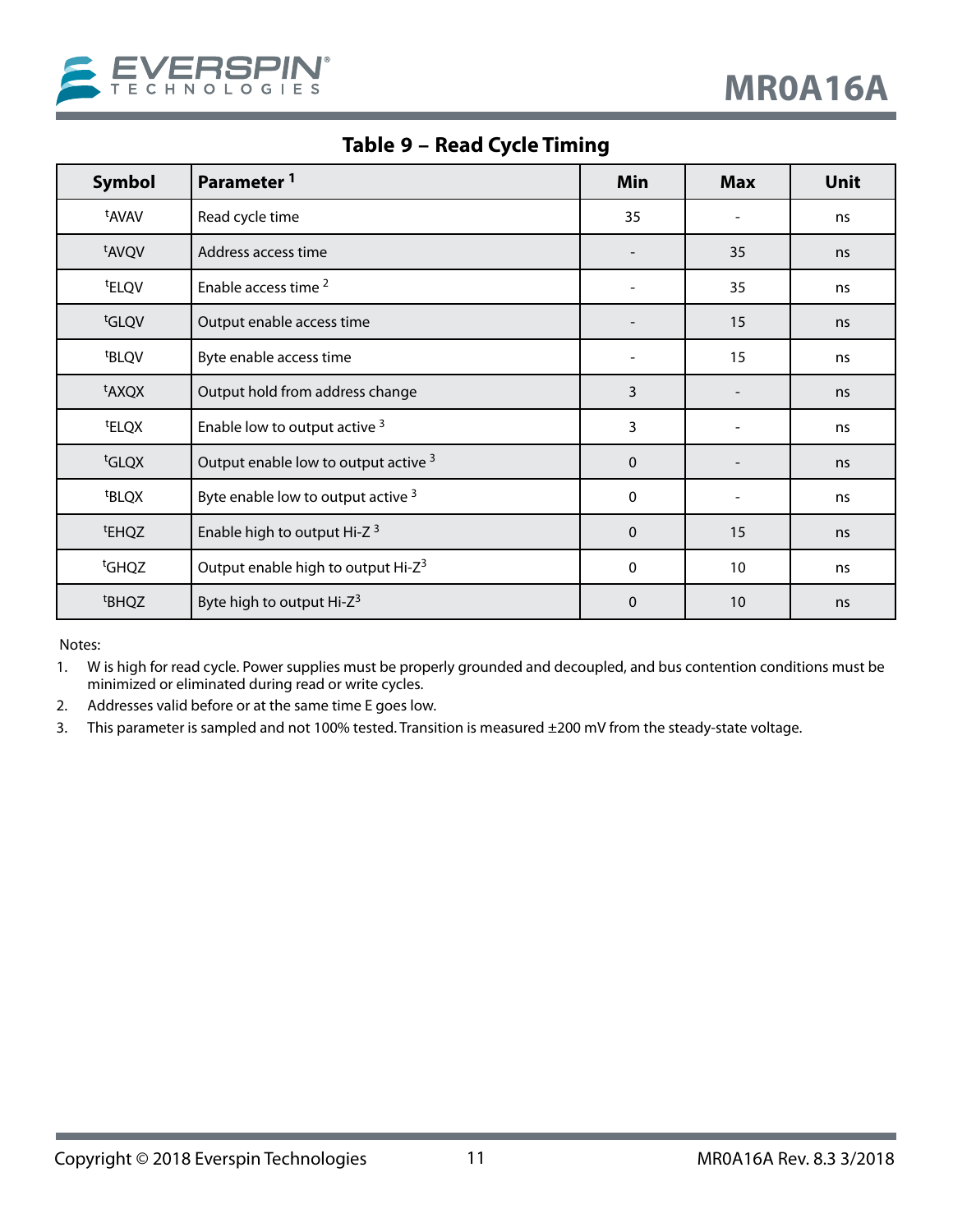<span id="page-10-0"></span>

**Table 9 – Read Cycle Timing**

| <b>Symbol</b>     | Parameter <sup>1</sup>                         | Min                      | <b>Max</b>     | Unit |
|-------------------|------------------------------------------------|--------------------------|----------------|------|
| t <sub>AVAV</sub> | Read cycle time                                | 35                       |                | ns   |
| tAVQV             | Address access time                            |                          | 35             | ns   |
| <sup>t</sup> ELQV | Enable access time <sup>2</sup>                | $\overline{\phantom{a}}$ | 35             | ns   |
| tGLQV             | Output enable access time                      |                          | 15             | ns   |
| <sup>t</sup> BLQV | Byte enable access time                        |                          | 15             | ns   |
| <sup>t</sup> AXQX | Output hold from address change                | 3                        |                | ns   |
| <sup>t</sup> ELQX | Enable low to output active 3                  | 3                        | $\overline{a}$ | ns   |
| <sup>t</sup> GLQX | Output enable low to output active 3           | $\mathbf 0$              |                | ns   |
| <sup>t</sup> BLQX | Byte enable low to output active 3             | 0                        |                | ns   |
| t <sub>EHQZ</sub> | Enable high to output Hi-Z <sup>3</sup>        | $\mathbf 0$              | 15             | ns   |
| <sup>t</sup> GHQZ | Output enable high to output Hi-Z <sup>3</sup> | 0                        | 10             | ns   |
| <sup>t</sup> BHQZ | Byte high to output Hi-Z <sup>3</sup>          | $\mathbf 0$              | 10             | ns   |

- 1. W is high for read cycle. Power supplies must be properly grounded and decoupled, and bus contention conditions must be minimized or eliminated during read or write cycles.
- 2. Addresses valid before or at the same time E goes low.
- 3. This parameter is sampled and not 100% tested. Transition is measured ±200 mV from the steady-state voltage.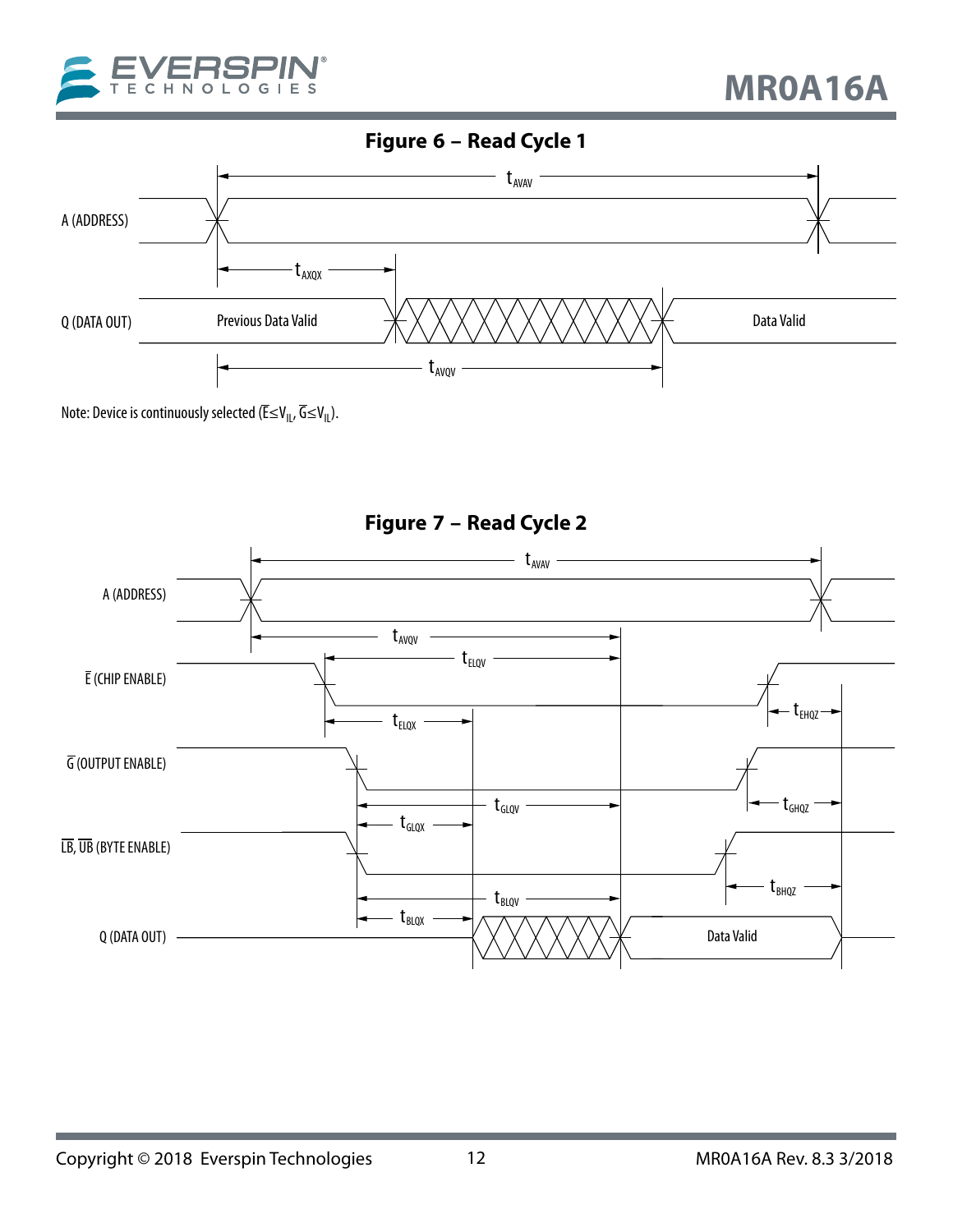<span id="page-11-0"></span>

## **Figure 6 – Read Cycle 1**



Note: Device is continuously selected ( $\overline{\mathsf{E}} \leq \mathsf{V}_{\mathsf{IL}}, \overline{\mathsf{G}} \leq \mathsf{V}_{\mathsf{IL}}$ ).



**Figure 7 – Read Cycle 2**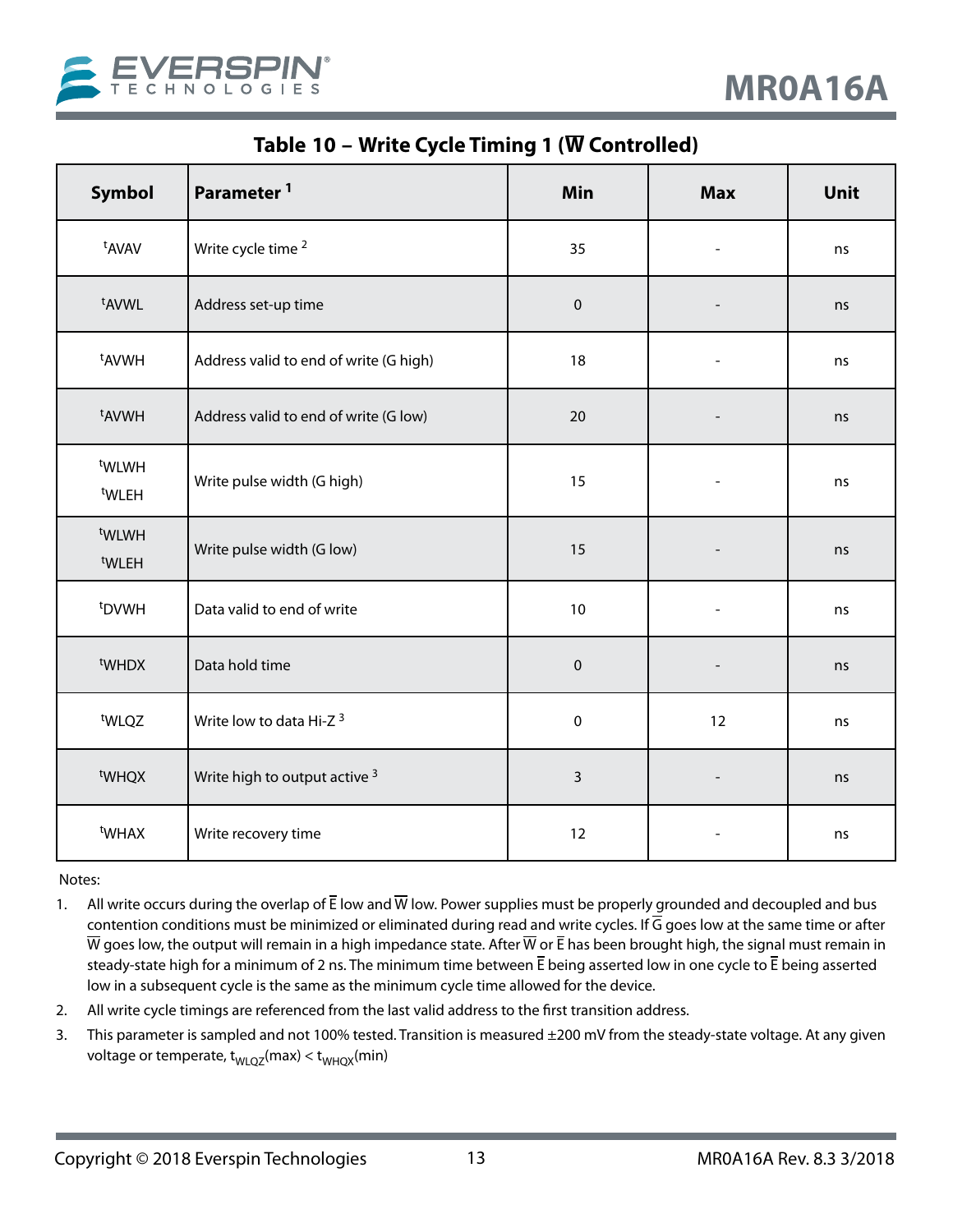<span id="page-12-0"></span>

**Table 10 – Write Cycle Timing 1 (W Controlled)** 

| Symbol                                 | Parameter <sup>1</sup>                 | Min         | <b>Max</b>     | Unit |
|----------------------------------------|----------------------------------------|-------------|----------------|------|
| t <sub>AVAV</sub>                      | Write cycle time <sup>2</sup>          | 35          | $\overline{a}$ | ns   |
| t <sub>AVWL</sub>                      | Address set-up time                    | $\mathbf 0$ |                | ns   |
| <sup>t</sup> AVWH                      | Address valid to end of write (G high) | 18          |                | ns   |
| <sup>t</sup> AVWH                      | Address valid to end of write (G low)  | 20          |                | ns   |
| t <sub>WLWH</sub><br>t <sub>WLEH</sub> | Write pulse width (G high)             | 15          |                | ns   |
| t <sub>WLWH</sub><br><sup>t</sup> WLEH | Write pulse width (G low)              | 15          |                | ns   |
| <sup>t</sup> DVWH                      | Data valid to end of write             | 10          |                | ns   |
| t <sub>WHDX</sub>                      | Data hold time                         | $\pmb{0}$   |                | ns   |
| t <sub>WLQZ</sub>                      | Write low to data Hi-Z <sup>3</sup>    | $\pmb{0}$   | 12             | ns   |
| <sup>t</sup> WHQX                      | Write high to output active 3          | 3           |                | ns   |
| <sup>t</sup> WHAX                      | Write recovery time                    | 12          |                | ns   |

- 1. All write occurs during the overlap of  $\bar{E}$  low and  $\bar{W}$  low. Power supplies must be properly grounded and decoupled and bus contention conditions must be minimized or eliminated during read and write cycles. If  $\overline{G}$  goes low at the same time or after  $\overline{W}$  goes low, the output will remain in a high impedance state. After  $\overline{W}$  or  $\overline{E}$  has been brought high, the signal must remain in steady-state high for a minimum of 2 ns. The minimum time between  $\bar{E}$  being asserted low in one cycle to  $\bar{E}$  being asserted low in a subsequent cycle is the same as the minimum cycle time allowed for the device.
- 2. All write cycle timings are referenced from the last valid address to the first transition address.
- 3. This parameter is sampled and not 100% tested. Transition is measured ±200 mV from the steady-state voltage. At any given voltage or temperate,  $t_{WLQZ}(max) < t_{WHQX}(min)$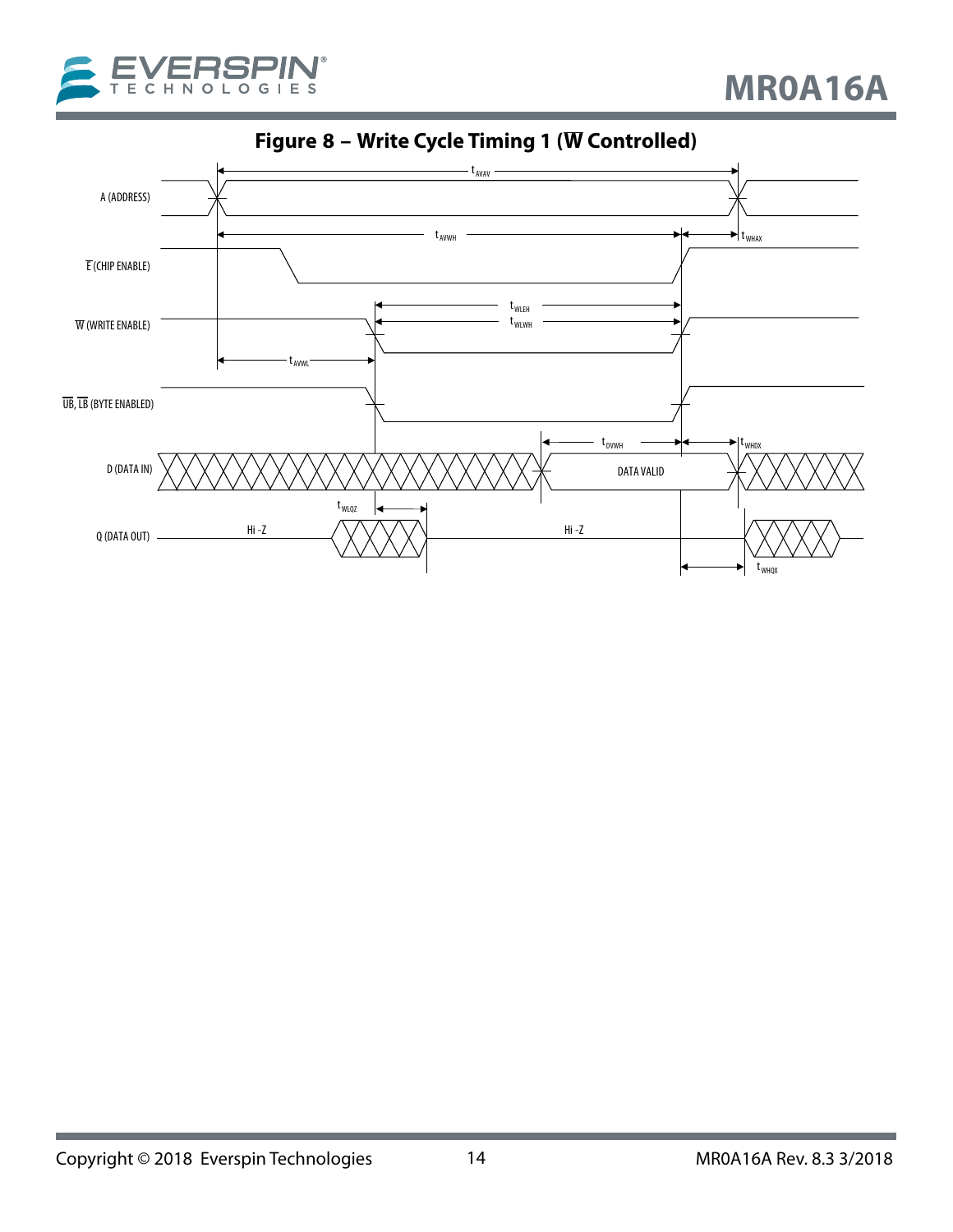<span id="page-13-0"></span>



**Figure 8 – Write Cycle Timing 1 (W Controlled)**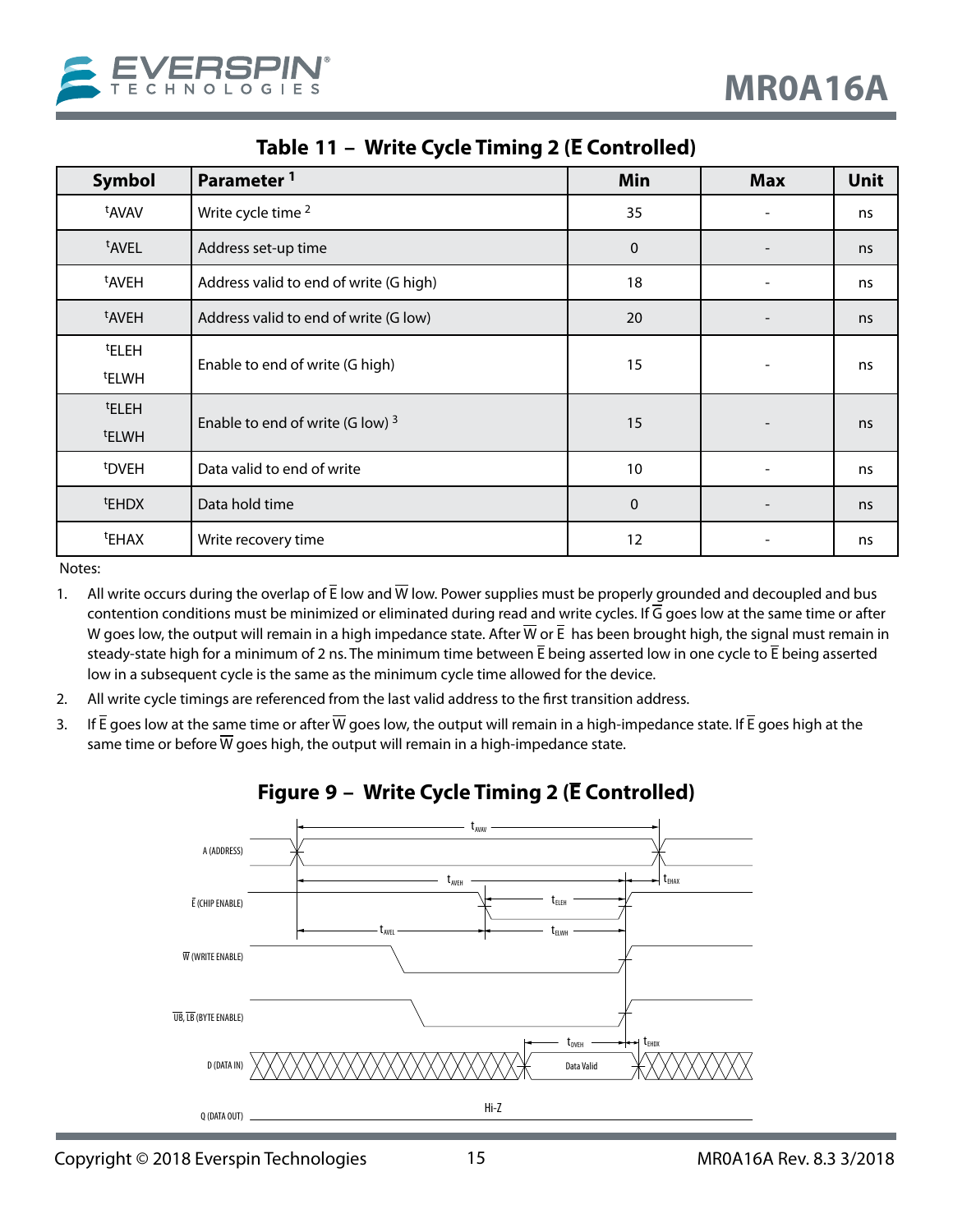<span id="page-14-0"></span>

| <b>Symbol</b>     | Parameter <sup>1</sup>                 | Min          | <b>Max</b> | <b>Unit</b> |
|-------------------|----------------------------------------|--------------|------------|-------------|
| t <sub>AVAV</sub> | Write cycle time <sup>2</sup>          | 35           |            | ns          |
| <sup>t</sup> AVEL | Address set-up time                    | $\mathbf{0}$ |            | ns          |
| <sup>t</sup> AVEH | Address valid to end of write (G high) | 18           |            | ns          |
| <sup>t</sup> AVEH | Address valid to end of write (G low)  | 20           |            | ns          |
| <sup>t</sup> ELEH | Enable to end of write (G high)        | 15           |            | ns          |
| <sup>t</sup> ELWH |                                        |              |            |             |
| <sup>t</sup> ELEH | Enable to end of write (G low) $3$     | 15           |            | ns          |
| <sup>t</sup> ELWH |                                        |              |            |             |
| <sup>t</sup> DVEH | Data valid to end of write             | 10           |            | ns          |
| <sup>t</sup> EHDX | Data hold time                         | $\mathbf 0$  |            | ns          |
| <sup>t</sup> EHAX | Write recovery time                    | 12           |            | ns          |

### **Table 11 – Write Cycle Timing 2 (E Controlled)**

Notes:

- 1. All write occurs during the overlap of  $\bar{E}$  low and  $\bar{W}$  low. Power supplies must be properly grounded and decoupled and bus contention conditions must be minimized or eliminated during read and write cycles. If  $\overline{G}$  goes low at the same time or after W goes low, the output will remain in a high impedance state. After  $\overline{W}$  or  $\overline{E}$  has been brought high, the signal must remain in steady-state high for a minimum of 2 ns. The minimum time between  $\bar{E}$  being asserted low in one cycle to  $\bar{E}$  being asserted low in a subsequent cycle is the same as the minimum cycle time allowed for the device.
- 2. All write cycle timings are referenced from the last valid address to the first transition address.
- 3. If  $\bar{E}$  goes low at the same time or after  $\bar{W}$  goes low, the output will remain in a high-impedance state. If  $\bar{E}$  goes high at the same time or before  $\overline{W}$  goes high, the output will remain in a high-impedance state.



### **Figure 9 – Write Cycle Timing 2 (E Controlled)**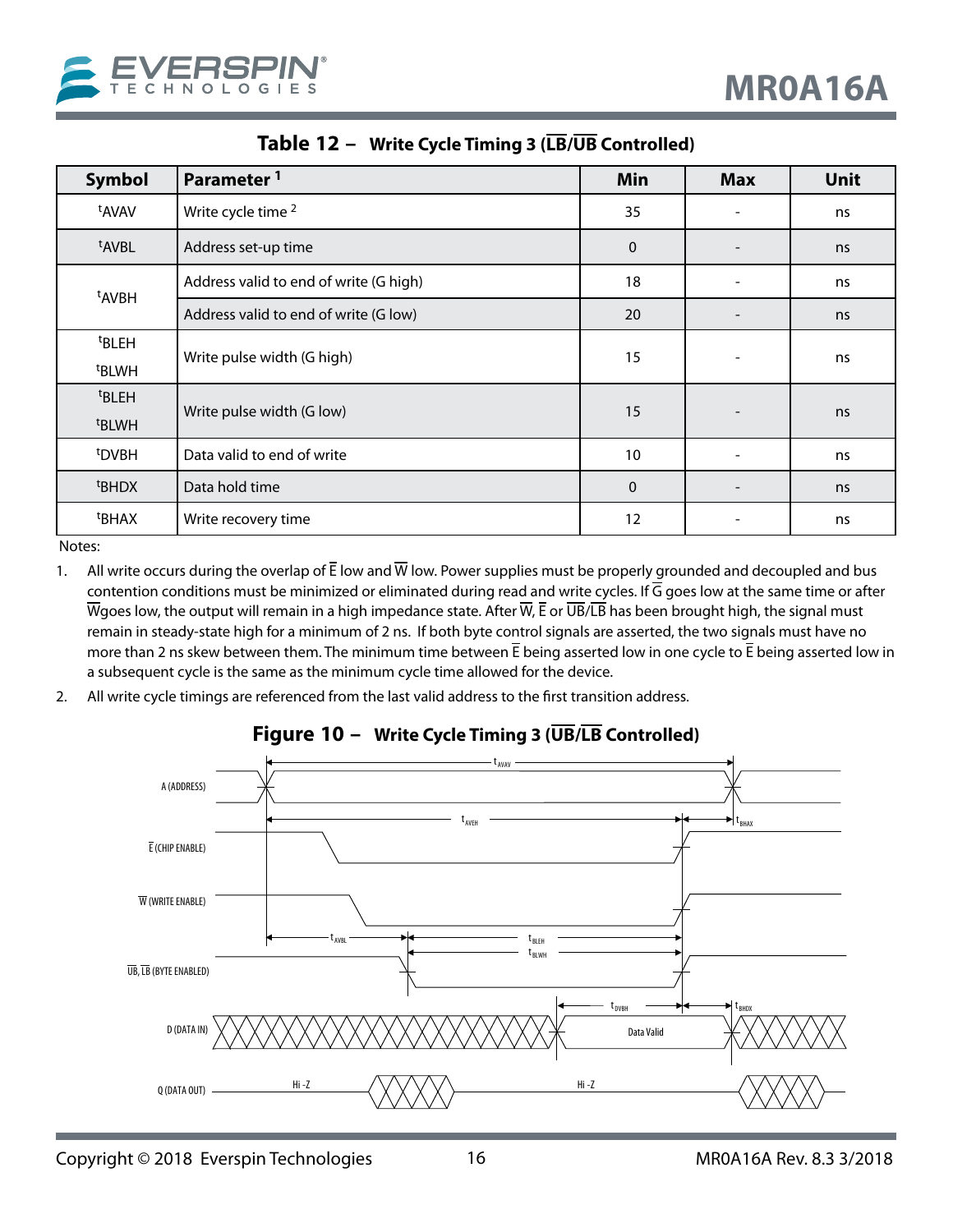<span id="page-15-0"></span>

| <b>Symbol</b>                          | Parameter <sup>1</sup>                 | Min         | <b>Max</b>               | <b>Unit</b> |
|----------------------------------------|----------------------------------------|-------------|--------------------------|-------------|
| t <sub>AVAV</sub>                      | Write cycle time <sup>2</sup>          | 35          |                          | ns          |
| <sup>t</sup> AVBL                      | Address set-up time                    | $\mathbf 0$ |                          | ns          |
| <sup>t</sup> AVBH                      | Address valid to end of write (G high) | 18          |                          | ns          |
|                                        | Address valid to end of write (G low)  |             | $\overline{\phantom{a}}$ | ns          |
| <sup>t</sup> BLEH<br><sup>t</sup> BLWH | Write pulse width (G high)             | 15          | $\qquad \qquad -$        | ns          |
| <sup>t</sup> BLEH                      |                                        |             |                          |             |
| <sup>t</sup> BLWH                      | Write pulse width (G low)              | 15          |                          | ns          |
| <sup>t</sup> DVBH                      | Data valid to end of write             | 10          | $\qquad \qquad -$        | ns          |
| <sup>t</sup> BHDX                      | Data hold time                         | $\mathbf 0$ |                          | ns          |
| <sup>t</sup> BHAX                      | Write recovery time                    | 12          |                          | ns          |

**Table 12 – Write Cycle Timing 3 (LB/UB Controlled)**

- 1. All write occurs during the overlap of  $\bar{E}$  low and  $\bar{W}$  low. Power supplies must be properly grounded and decoupled and bus contention conditions must be minimized or eliminated during read and write cycles. If  $\overline{G}$  goes low at the same time or after Wgoes low, the output will remain in a high impedance state. After  $\overline{W}$ ,  $\overline{E}$  or  $\overline{UB}/\overline{LB}$  has been brought high, the signal must remain in steady-state high for a minimum of 2 ns. If both byte control signals are asserted, the two signals must have no more than 2 ns skew between them. The minimum time between  $\bar{E}$  being asserted low in one cycle to  $\bar{E}$  being asserted low in a subsequent cycle is the same as the minimum cycle time allowed for the device.
- 2. All write cycle timings are referenced from the last valid address to the first transition address.



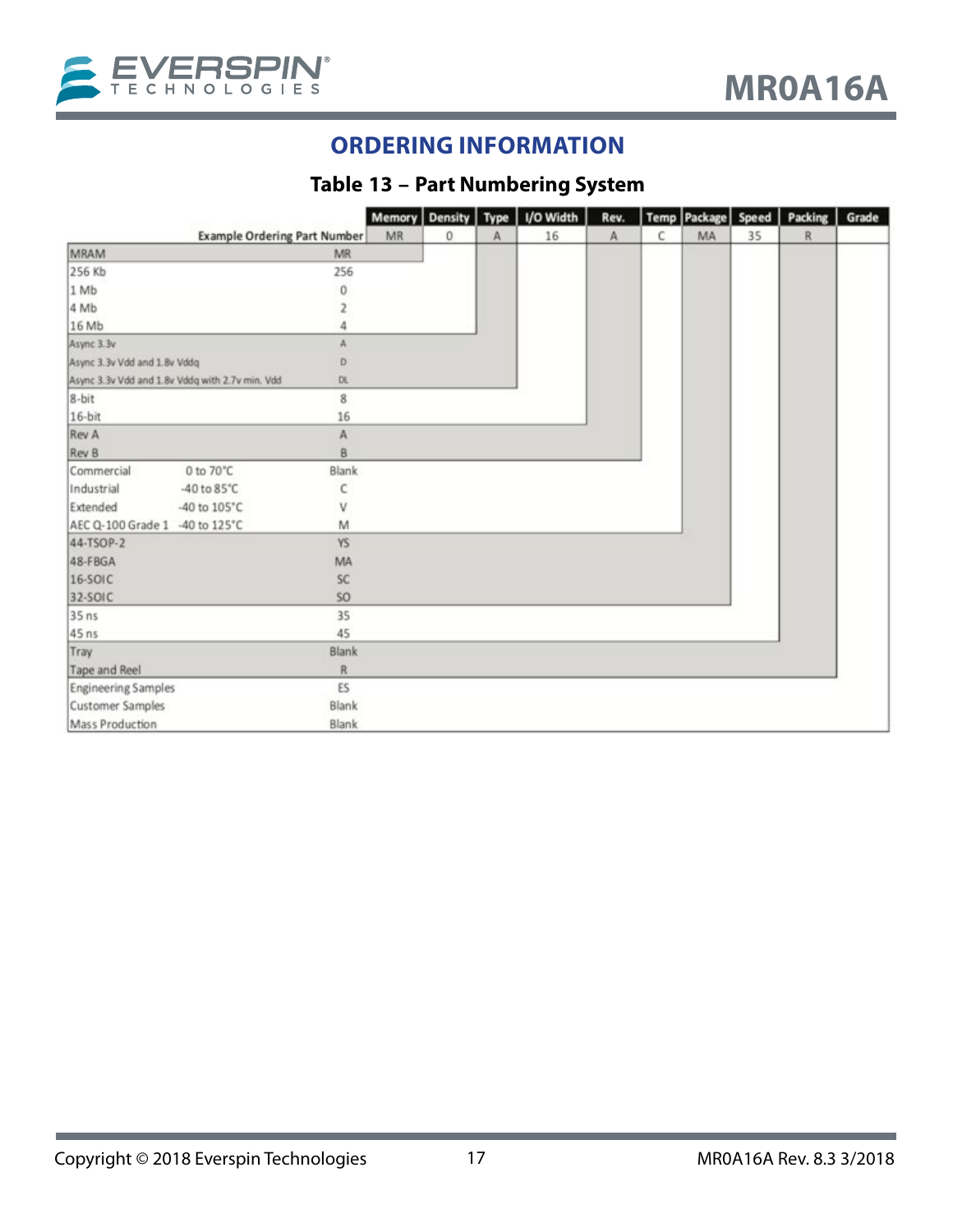<span id="page-16-0"></span>

## **ORDERING INFORMATION**

## **Table 13 – Part Numbering System**

|                                |                                                 |           |    | Memory Density Type |   | I/O Width | Rev. |   | Temp Package | Speed | Packing | Grade |
|--------------------------------|-------------------------------------------------|-----------|----|---------------------|---|-----------|------|---|--------------|-------|---------|-------|
|                                | <b>Example Ordering Part Number</b>             |           | MR | 0                   | Α | 16        | A    | С | MA           | 35    | R       |       |
| MRAM                           |                                                 | MR        |    |                     |   |           |      |   |              |       |         |       |
| 256 Kb                         |                                                 | 256       |    |                     |   |           |      |   |              |       |         |       |
| 1 Mb                           |                                                 | 0         |    |                     |   |           |      |   |              |       |         |       |
| 4 Mb                           |                                                 |           |    |                     |   |           |      |   |              |       |         |       |
| 16 Mb                          |                                                 |           |    |                     |   |           |      |   |              |       |         |       |
| Async 3.3v                     |                                                 | А         |    |                     |   |           |      |   |              |       |         |       |
| Async 3.3v Vdd and 1.8v Vddg   |                                                 | D         |    |                     |   |           |      |   |              |       |         |       |
|                                | Async 3.3v Vdd and 1.8v Vddq with 2.7v min. Vdd | DL.       |    |                     |   |           |      |   |              |       |         |       |
| $8-bit$                        |                                                 | 8         |    |                     |   |           |      |   |              |       |         |       |
| $16-bit$                       |                                                 | 16        |    |                     |   |           |      |   |              |       |         |       |
| Rev A                          |                                                 | A         |    |                     |   |           |      |   |              |       |         |       |
| Rev B                          |                                                 | B         |    |                     |   |           |      |   |              |       |         |       |
| Commercial                     | 0 to 70°C                                       | Blank     |    |                     |   |           |      |   |              |       |         |       |
| Industrial                     | -40 to $85^{\circ}$ C                           | C         |    |                     |   |           |      |   |              |       |         |       |
| Extended                       | -40 to 105°C                                    | ν         |    |                     |   |           |      |   |              |       |         |       |
| AEC Q-100 Grade 1 -40 to 125°C |                                                 | M         |    |                     |   |           |      |   |              |       |         |       |
| 44-TSOP-2                      |                                                 | YS.       |    |                     |   |           |      |   |              |       |         |       |
| 48-FBGA                        |                                                 | MA        |    |                     |   |           |      |   |              |       |         |       |
| $16-50IC$                      |                                                 | SC        |    |                     |   |           |      |   |              |       |         |       |
| 32-SOIC                        |                                                 | SO.       |    |                     |   |           |      |   |              |       |         |       |
| 35 ns                          |                                                 | 35        |    |                     |   |           |      |   |              |       |         |       |
| 45 ns                          |                                                 | 45        |    |                     |   |           |      |   |              |       |         |       |
| <b>Tray</b>                    |                                                 | Blank     |    |                     |   |           |      |   |              |       |         |       |
| Tape and Reel                  |                                                 | ${\sf R}$ |    |                     |   |           |      |   |              |       |         |       |
| <b>Engineering Samples</b>     |                                                 | ES        |    |                     |   |           |      |   |              |       |         |       |
| Customer Samples               |                                                 | Blank     |    |                     |   |           |      |   |              |       |         |       |
| Mass Production                |                                                 | Blank     |    |                     |   |           |      |   |              |       |         |       |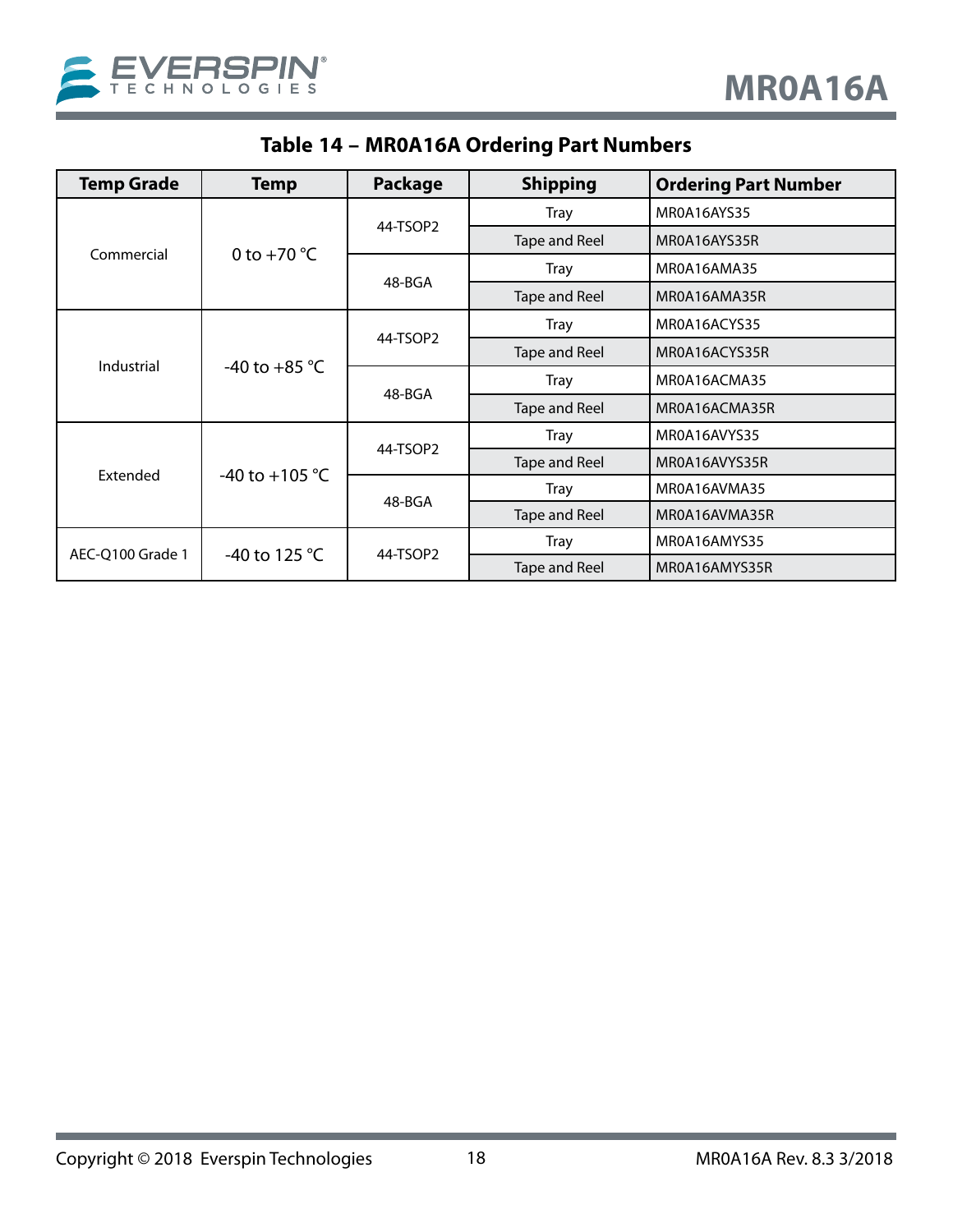<span id="page-17-0"></span>

| <b>Temp Grade</b> | Temp                    | Package  | <b>Shipping</b>      | <b>Ordering Part Number</b> |
|-------------------|-------------------------|----------|----------------------|-----------------------------|
| Commercial        |                         |          | <b>Tray</b>          | MR0A16AYS35                 |
|                   | 0 to $+70$ °C           | 44-TSOP2 | Tape and Reel        | MR0A16AYS35R                |
|                   |                         | 48-BGA   | <b>Tray</b>          | MR0A16AMA35                 |
|                   |                         |          | Tape and Reel        | MR0A16AMA35R                |
| Industrial        | -40 to +85 $^{\circ}$ C |          | <b>Tray</b>          | MR0A16ACYS35                |
|                   |                         | 44-TSOP2 | <b>Tape and Reel</b> | MR0A16ACYS35R               |
|                   |                         | 48-BGA   | <b>Tray</b>          | MR0A16ACMA35                |
|                   |                         |          | Tape and Reel        | MR0A16ACMA35R               |
| Extended          |                         |          | <b>Tray</b>          | MR0A16AVYS35                |
|                   | -40 to +105 °C          | 44-TSOP2 | Tape and Reel        | MR0A16AVYS35R               |
|                   |                         | 48-BGA   | <b>Tray</b>          | MR0A16AVMA35                |
|                   |                         |          | Tape and Reel        | MR0A16AVMA35R               |
| AEC-O100 Grade 1  | -40 to 125 $^{\circ}$ C | 44-TSOP2 | <b>Tray</b>          | MR0A16AMYS35                |
|                   |                         |          | <b>Tape and Reel</b> | MR0A16AMYS35R               |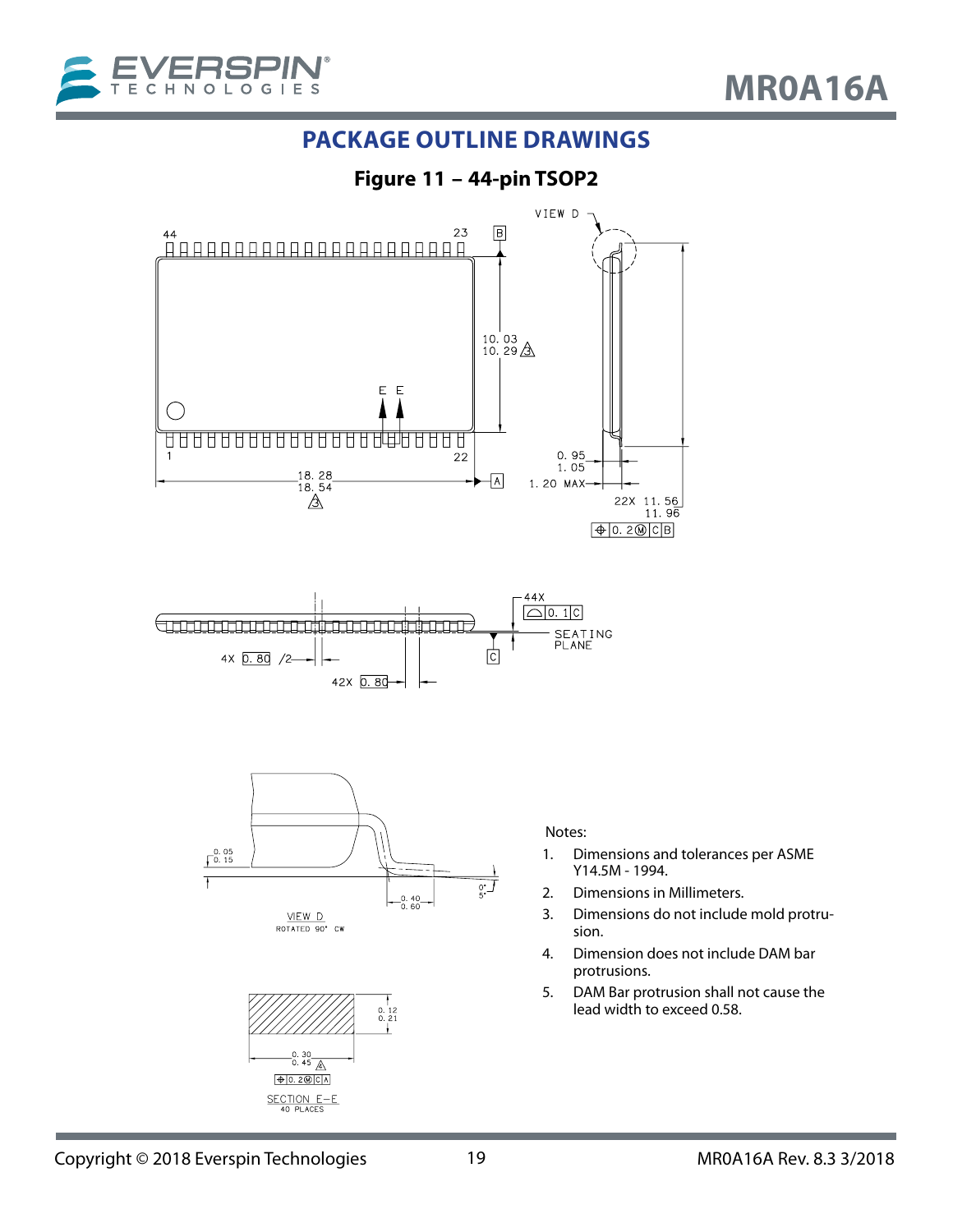<span id="page-18-0"></span>

### **PACKAGE OUTLINE DRAWINGS**



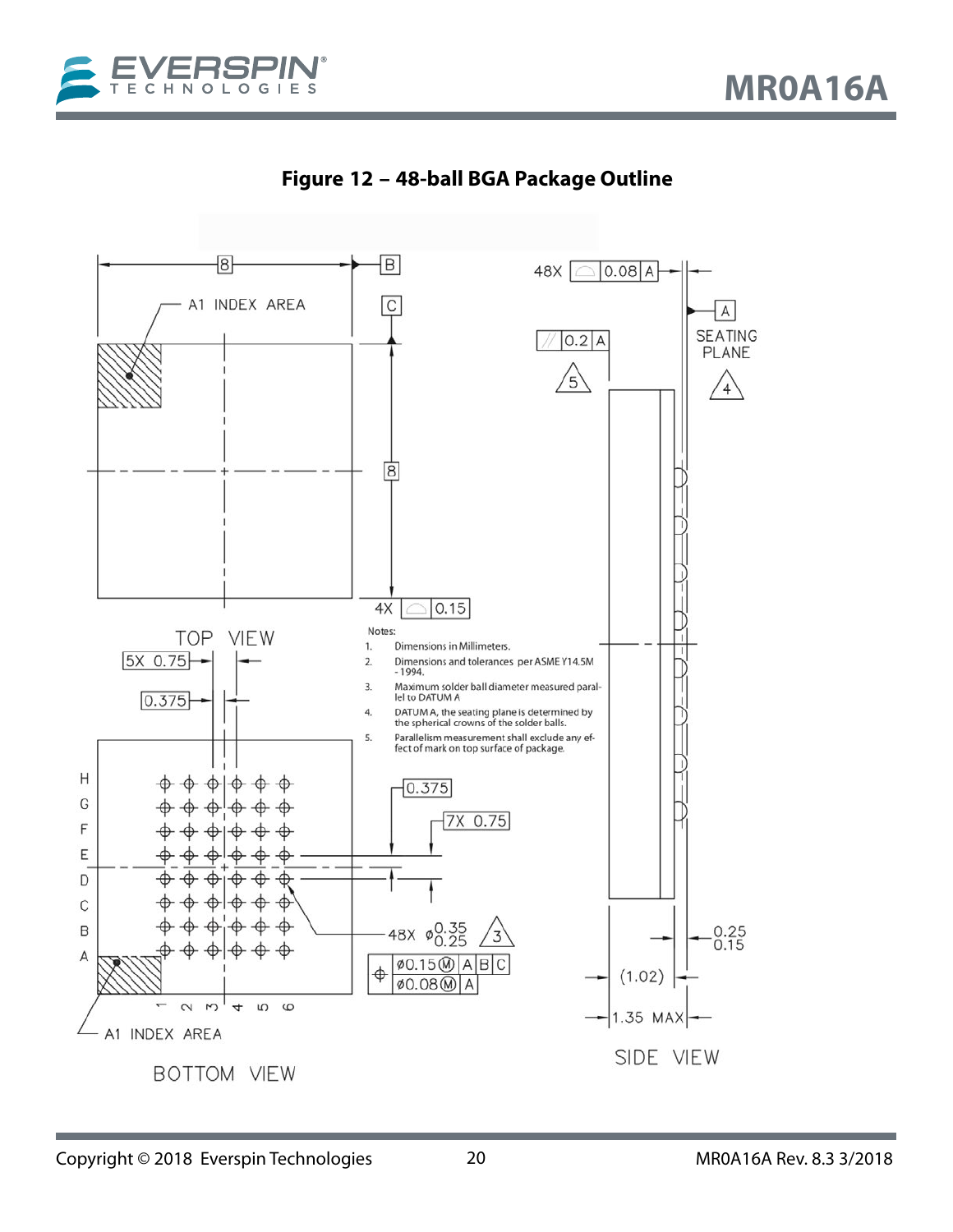<span id="page-19-0"></span>



**Figure 12 – 48-ball BGA Package Outline**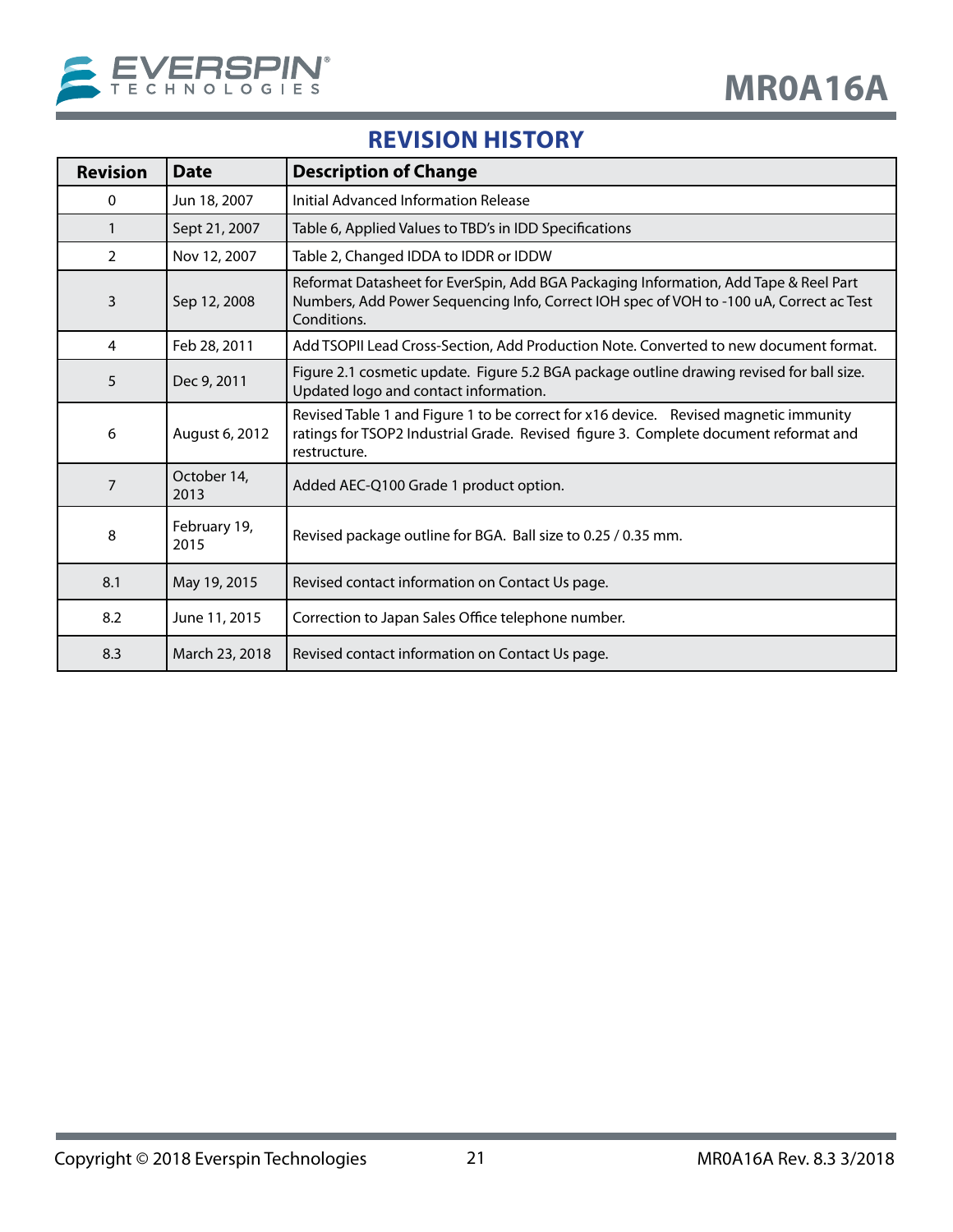<span id="page-20-0"></span>

## **REVISION HISTORY**

| <b>Revision</b> | <b>Date</b>          | <b>Description of Change</b>                                                                                                                                                                   |
|-----------------|----------------------|------------------------------------------------------------------------------------------------------------------------------------------------------------------------------------------------|
| 0               | Jun 18, 2007         | Initial Advanced Information Release                                                                                                                                                           |
| 1               | Sept 21, 2007        | Table 6, Applied Values to TBD's in IDD Specifications                                                                                                                                         |
| $\overline{2}$  | Nov 12, 2007         | Table 2, Changed IDDA to IDDR or IDDW                                                                                                                                                          |
| 3               | Sep 12, 2008         | Reformat Datasheet for EverSpin, Add BGA Packaging Information, Add Tape & Reel Part<br>Numbers, Add Power Sequencing Info, Correct IOH spec of VOH to -100 uA, Correct ac Test<br>Conditions. |
| 4               | Feb 28, 2011         | Add TSOPII Lead Cross-Section, Add Production Note. Converted to new document format.                                                                                                          |
| 5               | Dec 9, 2011          | Figure 2.1 cosmetic update. Figure 5.2 BGA package outline drawing revised for ball size.<br>Updated logo and contact information.                                                             |
| 6               | August 6, 2012       | Revised Table 1 and Figure 1 to be correct for x16 device. Revised magnetic immunity<br>ratings for TSOP2 Industrial Grade. Revised figure 3. Complete document reformat and<br>restructure.   |
| $\overline{7}$  | October 14,<br>2013  | Added AEC-Q100 Grade 1 product option.                                                                                                                                                         |
| 8               | February 19,<br>2015 | Revised package outline for BGA. Ball size to 0.25 / 0.35 mm.                                                                                                                                  |
| 8.1             | May 19, 2015         | Revised contact information on Contact Us page.                                                                                                                                                |
| 8.2             | June 11, 2015        | Correction to Japan Sales Office telephone number.                                                                                                                                             |
| 8.3             | March 23, 2018       | Revised contact information on Contact Us page.                                                                                                                                                |